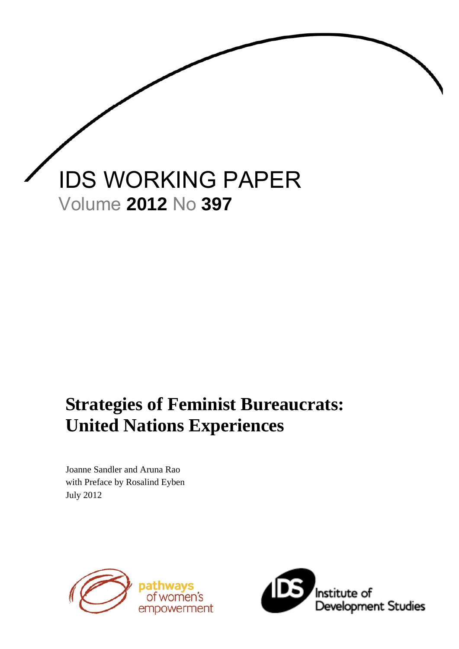

# **Strategies of Feminist Bureaucrats: United Nations Experiences**

Joanne Sandler and Aruna Rao with Preface by Rosalind Eyben July 2012



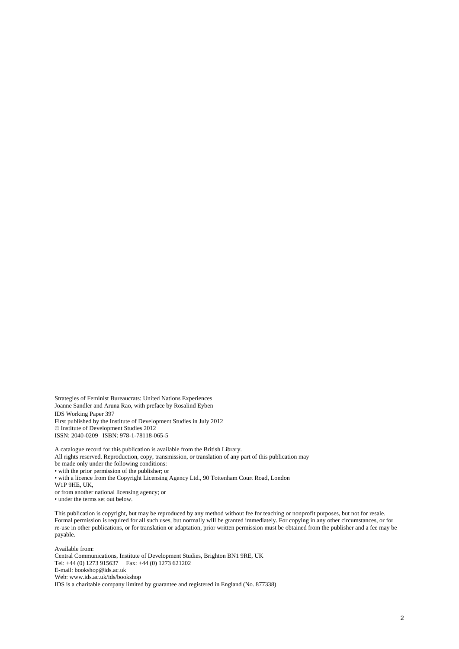Strategies of Feminist Bureaucrats: United Nations Experiences Joanne Sandler and Aruna Rao, with preface by Rosalind Eyben IDS Working Paper 397 First published by the Institute of Development Studies in July 2012 © Institute of Development Studies 2012 ISSN: 2040-0209 ISBN: 978-1-78118-065-5

A catalogue record for this publication is available from the British Library. All rights reserved. Reproduction, copy, transmission, or translation of any part of this publication may be made only under the following conditions: • with the prior permission of the publisher; or • with a licence from the Copyright Licensing Agency Ltd., 90 Tottenham Court Road, London W1P 9HE, UK, or from another national licensing agency; or

• under the terms set out below.

This publication is copyright, but may be reproduced by any method without fee for teaching or nonprofit purposes, but not for resale. Formal permission is required for all such uses, but normally will be granted immediately. For copying in any other circumstances, or for re-use in other publications, or for translation or adaptation, prior written permission must be obtained from the publisher and a fee may be payable.

Available from: Central Communications, Institute of Development Studies, Brighton BN1 9RE, UK Tel: +44 (0) 1273 915637 Fax: +44 (0) 1273 621202 E-mail: bookshop@ids.ac.uk Web: www.ids.ac.uk/ids/bookshop IDS is a charitable company limited by guarantee and registered in England (No. 877338)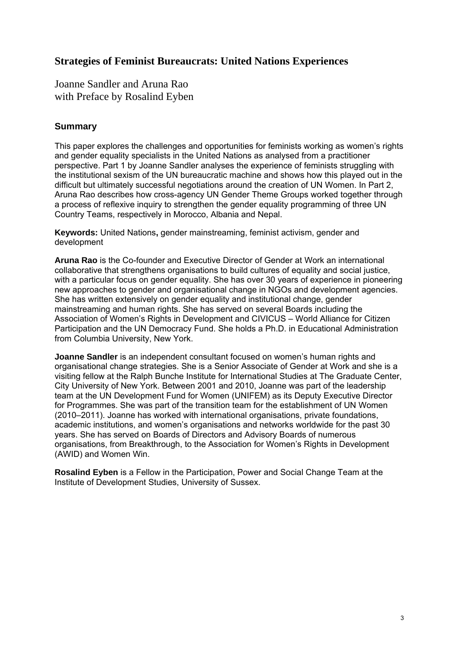## **Strategies of Feminist Bureaucrats: United Nations Experiences**

Joanne Sandler and Aruna Rao with Preface by Rosalind Eyben

#### **Summary**

This paper explores the challenges and opportunities for feminists working as women's rights and gender equality specialists in the United Nations as analysed from a practitioner perspective. Part 1 by Joanne Sandler analyses the experience of feminists struggling with the institutional sexism of the UN bureaucratic machine and shows how this played out in the difficult but ultimately successful negotiations around the creation of UN Women. In Part 2, Aruna Rao describes how cross-agency UN Gender Theme Groups worked together through a process of reflexive inquiry to strengthen the gender equality programming of three UN Country Teams, respectively in Morocco, Albania and Nepal.

**Keywords:** United Nations**,** gender mainstreaming, feminist activism, gender and development

**Aruna Rao** is the Co-founder and Executive Director of Gender at Work an international collaborative that strengthens organisations to build cultures of equality and social justice, with a particular focus on gender equality. She has over 30 years of experience in pioneering new approaches to gender and organisational change in NGOs and development agencies. She has written extensively on gender equality and institutional change, gender mainstreaming and human rights. She has served on several Boards including the Association of Women's Rights in Development and CIVICUS – World Alliance for Citizen Participation and the UN Democracy Fund. She holds a Ph.D. in Educational Administration from Columbia University, New York.

**Joanne Sandler** is an independent consultant focused on women's human rights and organisational change strategies. She is a Senior Associate of Gender at Work and she is a visiting fellow at the Ralph Bunche Institute for International Studies at The Graduate Center, City University of New York. Between 2001 and 2010, Joanne was part of the leadership team at the UN Development Fund for Women (UNIFEM) as its Deputy Executive Director for Programmes. She was part of the transition team for the establishment of UN Women (2010–2011). Joanne has worked with international organisations, private foundations, academic institutions, and women's organisations and networks worldwide for the past 30 years. She has served on Boards of Directors and Advisory Boards of numerous organisations, from Breakthrough, to the Association for Women's Rights in Development (AWID) and Women Win.

**Rosalind Eyben** is a Fellow in the Participation, Power and Social Change Team at the Institute of Development Studies, University of Sussex.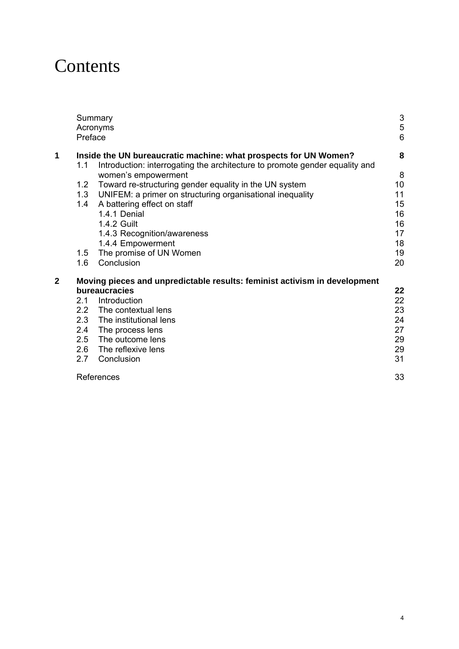## **Contents**

|   | Preface | Summary<br>Acronyms                                                                                                                             | $\mathbf{3}$<br>5<br>6 |
|---|---------|-------------------------------------------------------------------------------------------------------------------------------------------------|------------------------|
| 1 | 1.1     | Inside the UN bureaucratic machine: what prospects for UN Women?<br>Introduction: interrogating the architecture to promote gender equality and | 8                      |
|   |         | women's empowerment                                                                                                                             | 8                      |
|   |         | 1.2 Toward re-structuring gender equality in the UN system                                                                                      | 10                     |
|   |         | 1.3 UNIFEM: a primer on structuring organisational inequality                                                                                   | 11                     |
|   | 1.4     | A battering effect on staff                                                                                                                     | 15                     |
|   |         | 1.4.1 Denial                                                                                                                                    | 16                     |
|   |         | 1.4.2 Guilt                                                                                                                                     | 16                     |
|   |         | 1.4.3 Recognition/awareness                                                                                                                     | 17                     |
|   |         | 1.4.4 Empowerment                                                                                                                               | 18                     |
|   | 1.5     | The promise of UN Women                                                                                                                         | 19                     |
|   | 1.6     | Conclusion                                                                                                                                      | 20                     |
| 2 |         | Moving pieces and unpredictable results: feminist activism in development                                                                       |                        |
|   |         | <b>bureaucracies</b>                                                                                                                            | 22                     |
|   | 2.1     | Introduction                                                                                                                                    | 22                     |
|   |         | 2.2 The contextual lens                                                                                                                         | 23                     |
|   |         | 2.3 The institutional lens                                                                                                                      | 24                     |
|   | 2.4     | The process lens                                                                                                                                | 27                     |
|   |         | 2.5 The outcome lens                                                                                                                            | 29                     |
|   |         | 2.6 The reflexive lens                                                                                                                          | 29                     |
|   |         | 2.7 Conclusion                                                                                                                                  | 31                     |
|   |         | References                                                                                                                                      | 33                     |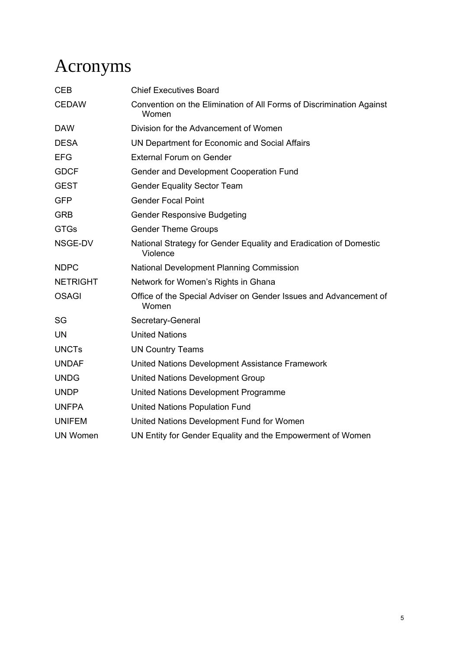# Acronyms

| <b>CEB</b>      | <b>Chief Executives Board</b>                                                 |
|-----------------|-------------------------------------------------------------------------------|
| <b>CEDAW</b>    | Convention on the Elimination of All Forms of Discrimination Against<br>Women |
| <b>DAW</b>      | Division for the Advancement of Women                                         |
| <b>DESA</b>     | UN Department for Economic and Social Affairs                                 |
| <b>EFG</b>      | <b>External Forum on Gender</b>                                               |
| <b>GDCF</b>     | Gender and Development Cooperation Fund                                       |
| <b>GEST</b>     | <b>Gender Equality Sector Team</b>                                            |
| <b>GFP</b>      | <b>Gender Focal Point</b>                                                     |
| <b>GRB</b>      | <b>Gender Responsive Budgeting</b>                                            |
| <b>GTGs</b>     | <b>Gender Theme Groups</b>                                                    |
| NSGE-DV         | National Strategy for Gender Equality and Eradication of Domestic<br>Violence |
| <b>NDPC</b>     | National Development Planning Commission                                      |
| <b>NETRIGHT</b> | Network for Women's Rights in Ghana                                           |
| <b>OSAGI</b>    | Office of the Special Adviser on Gender Issues and Advancement of<br>Women    |
| SG              | Secretary-General                                                             |
| <b>UN</b>       | <b>United Nations</b>                                                         |
| <b>UNCTs</b>    | <b>UN Country Teams</b>                                                       |
| <b>UNDAF</b>    | United Nations Development Assistance Framework                               |
| <b>UNDG</b>     | United Nations Development Group                                              |
| <b>UNDP</b>     | United Nations Development Programme                                          |
| <b>UNFPA</b>    | United Nations Population Fund                                                |
| <b>UNIFEM</b>   | United Nations Development Fund for Women                                     |
| UN Women        | UN Entity for Gender Equality and the Empowerment of Women                    |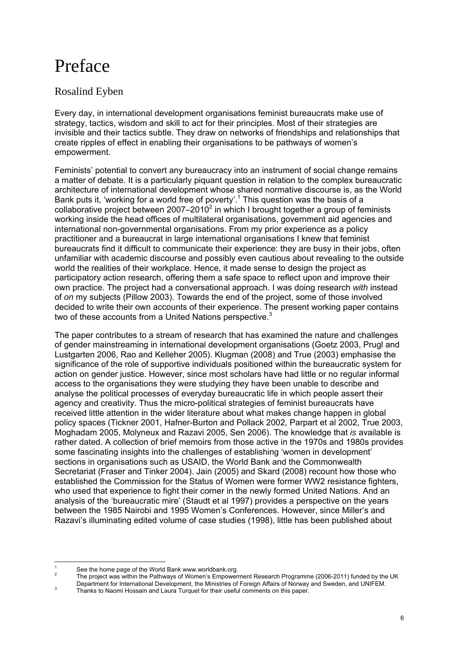## Preface

## Rosalind Eyben

Every day, in international development organisations feminist bureaucrats make use of strategy, tactics, wisdom and skill to act for their principles. Most of their strategies are invisible and their tactics subtle. They draw on networks of friendships and relationships that create ripples of effect in enabling their organisations to be pathways of women's empowerment.

Feminists' potential to convert any bureaucracy into an instrument of social change remains a matter of debate. It is a particularly piquant question in relation to the complex bureaucratic architecture of international development whose shared normative discourse is, as the World Bank puts it, 'working for a world free of poverty'.<sup>1</sup> This question was the basis of a collaborative project between 2007–2010 $^2$  in which I brought together a group of feminists working inside the head offices of multilateral organisations, government aid agencies and international non-governmental organisations. From my prior experience as a policy practitioner and a bureaucrat in large international organisations I knew that feminist bureaucrats find it difficult to communicate their experience: they are busy in their jobs, often unfamiliar with academic discourse and possibly even cautious about revealing to the outside world the realities of their workplace. Hence, it made sense to design the project as participatory action research, offering them a safe space to reflect upon and improve their own practice. The project had a conversational approach. I was doing research *with* instead of *on* my subjects (Pillow 2003). Towards the end of the project, some of those involved decided to write their own accounts of their experience. The present working paper contains two of these accounts from a United Nations perspective.<sup>3</sup>

The paper contributes to a stream of research that has examined the nature and challenges of gender mainstreaming in international development organisations (Goetz 2003, Prugl and Lustgarten 2006, Rao and Kelleher 2005). Klugman (2008) and True (2003) emphasise the significance of the role of supportive individuals positioned within the bureaucratic system for action on gender justice. However, since most scholars have had little or no regular informal access to the organisations they were studying they have been unable to describe and analyse the political processes of everyday bureaucratic life in which people assert their agency and creativity. Thus the micro-political strategies of feminist bureaucrats have received little attention in the wider literature about what makes change happen in global policy spaces (Tickner 2001, Hafner-Burton and Pollack 2002, Parpart et al 2002, True 2003, Moghadam 2005, Molyneux and Razavi 2005, Sen 2006). The knowledge that *is* available is rather dated. A collection of brief memoirs from those active in the 1970s and 1980s provides some fascinating insights into the challenges of establishing 'women in development' sections in organisations such as USAID, the World Bank and the Commonwealth Secretariat (Fraser and Tinker 2004). Jain (2005) and Skard (2008) recount how those who established the Commission for the Status of Women were former WW2 resistance fighters, who used that experience to fight their corner in the newly formed United Nations. And an analysis of the 'bureaucratic mire' (Staudt et al 1997) provides a perspective on the years between the 1985 Nairobi and 1995 Women's Conferences. However, since Miller's and Razavi's illuminating edited volume of case studies (1998), little has been published about

 $\frac{1}{1}$ See the home page of the World Bank www.worldbank.org.

 $\overline{2}$ The project was within the Pathways of Women's Empowerment Research Programme (2006-2011) funded by the UK

Department for International Development, the Ministries of Foreign Affairs of Norway and Sweden, and UNIFEM. Thanks to Naomi Hossain and Laura Turquet for their useful comments on this paper.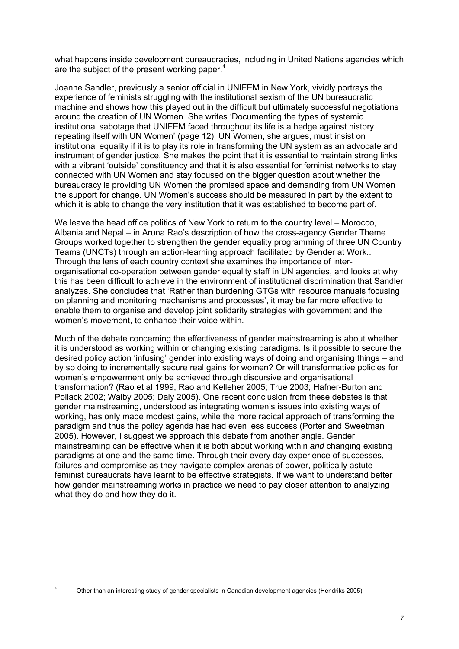what happens inside development bureaucracies, including in United Nations agencies which are the subject of the present working paper.<sup>4</sup>

Joanne Sandler, previously a senior official in UNIFEM in New York, vividly portrays the experience of feminists struggling with the institutional sexism of the UN bureaucratic machine and shows how this played out in the difficult but ultimately successful negotiations around the creation of UN Women. She writes 'Documenting the types of systemic institutional sabotage that UNIFEM faced throughout its life is a hedge against history repeating itself with UN Women' (page 12). UN Women, she argues, must insist on institutional equality if it is to play its role in transforming the UN system as an advocate and instrument of gender justice. She makes the point that it is essential to maintain strong links with a vibrant 'outside' constituency and that it is also essential for feminist networks to stay connected with UN Women and stay focused on the bigger question about whether the bureaucracy is providing UN Women the promised space and demanding from UN Women the support for change. UN Women's success should be measured in part by the extent to which it is able to change the very institution that it was established to become part of.

We leave the head office politics of New York to return to the country level – Morocco, Albania and Nepal – in Aruna Rao's description of how the cross-agency Gender Theme Groups worked together to strengthen the gender equality programming of three UN Country Teams (UNCTs) through an action-learning approach facilitated by Gender at Work.. Through the lens of each country context she examines the importance of interorganisational co-operation between gender equality staff in UN agencies, and looks at why this has been difficult to achieve in the environment of institutional discrimination that Sandler analyzes. She concludes that 'Rather than burdening GTGs with resource manuals focusing on planning and monitoring mechanisms and processes', it may be far more effective to enable them to organise and develop joint solidarity strategies with government and the women's movement, to enhance their voice within.

Much of the debate concerning the effectiveness of gender mainstreaming is about whether it is understood as working within or changing existing paradigms. Is it possible to secure the desired policy action 'infusing' gender into existing ways of doing and organising things – and by so doing to incrementally secure real gains for women? Or will transformative policies for women's empowerment only be achieved through discursive and organisational transformation? (Rao et al 1999, Rao and Kelleher 2005; True 2003; Hafner-Burton and Pollack 2002; Walby 2005; Daly 2005). One recent conclusion from these debates is that gender mainstreaming, understood as integrating women's issues into existing ways of working, has only made modest gains, while the more radical approach of transforming the paradigm and thus the policy agenda has had even less success (Porter and Sweetman 2005). However, I suggest we approach this debate from another angle. Gender mainstreaming can be effective when it is both about working within *and* changing existing paradigms at one and the same time. Through their every day experience of successes, failures and compromise as they navigate complex arenas of power, politically astute feminist bureaucrats have learnt to be effective strategists. If we want to understand better how gender mainstreaming works in practice we need to pay closer attention to analyzing what they do and how they do it.

<sup>&</sup>lt;u>.</u> 4

Other than an interesting study of gender specialists in Canadian development agencies (Hendriks 2005).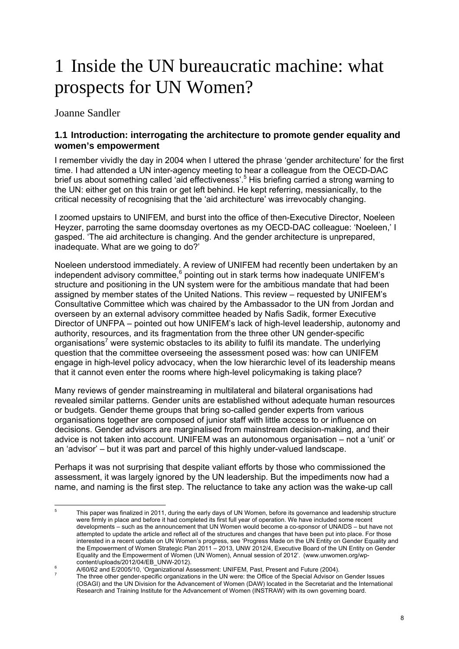# 1 Inside the UN bureaucratic machine: what prospects for UN Women?

Joanne Sandler

#### **1.1 Introduction: interrogating the architecture to promote gender equality and women's empowerment**

I remember vividly the day in 2004 when I uttered the phrase 'gender architecture' for the first time. I had attended a UN inter-agency meeting to hear a colleague from the OECD-DAC brief us about something called 'aid effectiveness'.<sup>5</sup> His briefing carried a strong warning to the UN: either get on this train or get left behind. He kept referring, messianically, to the critical necessity of recognising that the 'aid architecture' was irrevocably changing.

I zoomed upstairs to UNIFEM, and burst into the office of then-Executive Director, Noeleen Heyzer, parroting the same doomsday overtones as my OECD-DAC colleague: 'Noeleen,' I gasped. 'The aid architecture is changing. And the gender architecture is unprepared, inadequate. What are we going to do?'

Noeleen understood immediately. A review of UNIFEM had recently been undertaken by an independent advisory committee, $6$  pointing out in stark terms how inadequate UNIFEM's structure and positioning in the UN system were for the ambitious mandate that had been assigned by member states of the United Nations. This review – requested by UNIFEM's Consultative Committee which was chaired by the Ambassador to the UN from Jordan and overseen by an external advisory committee headed by Nafis Sadik, former Executive Director of UNFPA – pointed out how UNIFEM's lack of high-level leadership, autonomy and authority, resources, and its fragmentation from the three other UN gender-specific organisations<sup>7</sup> were systemic obstacles to its ability to fulfil its mandate. The underlying question that the committee overseeing the assessment posed was: how can UNIFEM engage in high-level policy advocacy, when the low hierarchic level of its leadership means that it cannot even enter the rooms where high-level policymaking is taking place?

Many reviews of gender mainstreaming in multilateral and bilateral organisations had revealed similar patterns. Gender units are established without adequate human resources or budgets. Gender theme groups that bring so-called gender experts from various organisations together are composed of junior staff with little access to or influence on decisions. Gender advisors are marginalised from mainstream decision-making, and their advice is not taken into account. UNIFEM was an autonomous organisation – not a 'unit' or an 'advisor' – but it was part and parcel of this highly under-valued landscape.

Perhaps it was not surprising that despite valiant efforts by those who commissioned the assessment, it was largely ignored by the UN leadership. But the impediments now had a name, and naming is the first step. The reluctance to take any action was the wake-up call

 $\frac{1}{5}$  This paper was finalized in 2011, during the early days of UN Women, before its governance and leadership structure were firmly in place and before it had completed its first full year of operation. We have included some recent developments – such as the announcement that UN Women would become a co-sponsor of UNAIDS – but have not attempted to update the article and reflect all of the structures and changes that have been put into place. For those interested in a recent update on UN Women's progress, see 'Progress Made on the UN Entity on Gender Equality and the Empowerment of Women Strategic Plan 2011 – 2013, UNW 2012/4, Executive Board of the UN Entity on Gender Equality and the Empowerment of Women (UN Women), Annual session of 2012'. (www.unwomen.org/wpcontent/uploads/2012/04/EB\_UNW-2012). 6

A/60/62 and E/2005/10, 'Organizational Assessment: UNIFEM, Past, Present and Future (2004). 7

The three other gender-specific organizations in the UN were: the Office of the Special Advisor on Gender Issues (OSAGI) and the UN Division for the Advancement of Women (DAW) located in the Secretariat and the International Research and Training Institute for the Advancement of Women (INSTRAW) with its own governing board.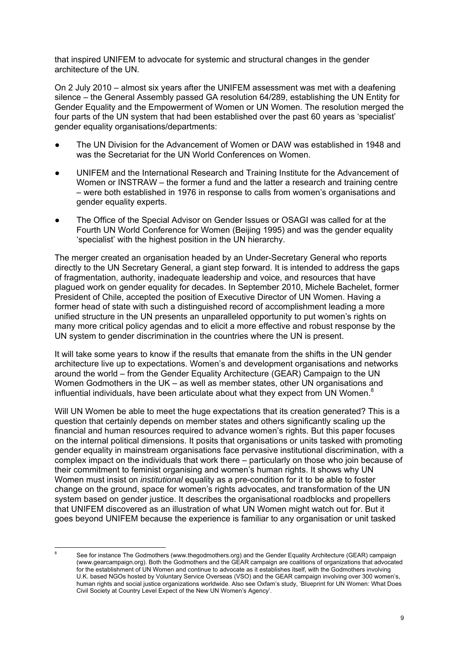that inspired UNIFEM to advocate for systemic and structural changes in the gender architecture of the UN.

On 2 July 2010 – almost six years after the UNIFEM assessment was met with a deafening silence – the General Assembly passed GA resolution 64/289, establishing the UN Entity for Gender Equality and the Empowerment of Women or UN Women. The resolution merged the four parts of the UN system that had been established over the past 60 years as 'specialist' gender equality organisations/departments:

- The UN Division for the Advancement of Women or DAW was established in 1948 and was the Secretariat for the UN World Conferences on Women.
- UNIFEM and the International Research and Training Institute for the Advancement of Women or INSTRAW – the former a fund and the latter a research and training centre – were both established in 1976 in response to calls from women's organisations and gender equality experts.
- The Office of the Special Advisor on Gender Issues or OSAGI was called for at the Fourth UN World Conference for Women (Beijing 1995) and was the gender equality 'specialist' with the highest position in the UN hierarchy.

The merger created an organisation headed by an Under-Secretary General who reports directly to the UN Secretary General, a giant step forward. It is intended to address the gaps of fragmentation, authority, inadequate leadership and voice, and resources that have plagued work on gender equality for decades. In September 2010, Michele Bachelet, former President of Chile, accepted the position of Executive Director of UN Women. Having a former head of state with such a distinguished record of accomplishment leading a more unified structure in the UN presents an unparalleled opportunity to put women's rights on many more critical policy agendas and to elicit a more effective and robust response by the UN system to gender discrimination in the countries where the UN is present.

It will take some years to know if the results that emanate from the shifts in the UN gender architecture live up to expectations. Women's and development organisations and networks around the world – from the Gender Equality Architecture (GEAR) Campaign to the UN Women Godmothers in the UK – as well as member states, other UN organisations and influential individuals, have been articulate about what they expect from UN Women. $8$ 

Will UN Women be able to meet the huge expectations that its creation generated? This is a question that certainly depends on member states and others significantly scaling up the financial and human resources required to advance women's rights. But this paper focuses on the internal political dimensions. It posits that organisations or units tasked with promoting gender equality in mainstream organisations face pervasive institutional discrimination, with a complex impact on the individuals that work there – particularly on those who join because of their commitment to feminist organising and women's human rights. It shows why UN Women must insist on *institutional* equality as a pre-condition for it to be able to foster change on the ground, space for women's rights advocates, and transformation of the UN system based on gender justice. It describes the organisational roadblocks and propellers that UNIFEM discovered as an illustration of what UN Women might watch out for. But it goes beyond UNIFEM because the experience is familiar to any organisation or unit tasked

1 8

See for instance The Godmothers (www.thegodmothers.org) and the Gender Equality Architecture (GEAR) campaign (www.gearcampaign.org). Both the Godmothers and the GEAR campaign are coalitions of organizations that advocated for the establishment of UN Women and continue to advocate as it establishes itself, with the Godmothers involving U.K. based NGOs hosted by Voluntary Service Overseas (VSO) and the GEAR campaign involving over 300 women's, human rights and social justice organizations worldwide. Also see Oxfam's study, 'Blueprint for UN Women: What Does Civil Society at Country Level Expect of the New UN Women's Agency'.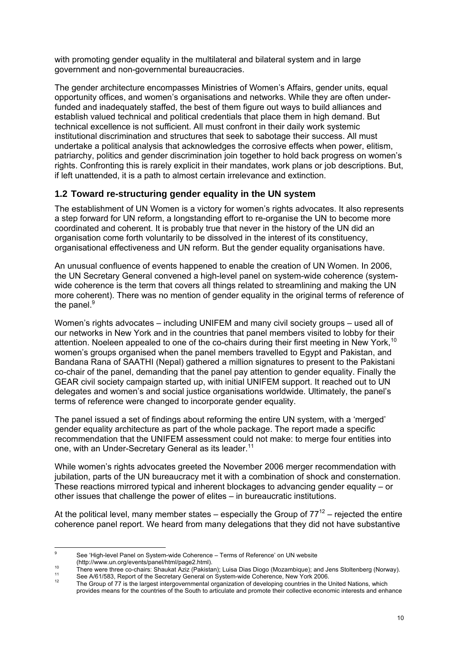with promoting gender equality in the multilateral and bilateral system and in large government and non-governmental bureaucracies.

The gender architecture encompasses Ministries of Women's Affairs, gender units, equal opportunity offices, and women's organisations and networks. While they are often underfunded and inadequately staffed, the best of them figure out ways to build alliances and establish valued technical and political credentials that place them in high demand. But technical excellence is not sufficient. All must confront in their daily work systemic institutional discrimination and structures that seek to sabotage their success. All must undertake a political analysis that acknowledges the corrosive effects when power, elitism, patriarchy, politics and gender discrimination join together to hold back progress on women's rights. Confronting this is rarely explicit in their mandates, work plans or job descriptions. But, if left unattended, it is a path to almost certain irrelevance and extinction.

#### **1.2 Toward re-structuring gender equality in the UN system**

The establishment of UN Women is a victory for women's rights advocates. It also represents a step forward for UN reform, a longstanding effort to re-organise the UN to become more coordinated and coherent. It is probably true that never in the history of the UN did an organisation come forth voluntarily to be dissolved in the interest of its constituency, organisational effectiveness and UN reform. But the gender equality organisations have.

An unusual confluence of events happened to enable the creation of UN Women. In 2006, the UN Secretary General convened a high-level panel on system-wide coherence (systemwide coherence is the term that covers all things related to streamlining and making the UN more coherent). There was no mention of gender equality in the original terms of reference of the panel. $9$ 

Women's rights advocates – including UNIFEM and many civil society groups – used all of our networks in New York and in the countries that panel members visited to lobby for their attention. Noeleen appealed to one of the co-chairs during their first meeting in New York,  $10$ women's groups organised when the panel members travelled to Egypt and Pakistan, and Bandana Rana of SAATHI (Nepal) gathered a million signatures to present to the Pakistani co-chair of the panel, demanding that the panel pay attention to gender equality. Finally the GEAR civil society campaign started up, with initial UNIFEM support. It reached out to UN delegates and women's and social justice organisations worldwide. Ultimately, the panel's terms of reference were changed to incorporate gender equality.

The panel issued a set of findings about reforming the entire UN system, with a 'merged' gender equality architecture as part of the whole package. The report made a specific recommendation that the UNIFEM assessment could not make: to merge four entities into one, with an Under-Secretary General as its leader.<sup>11</sup>

While women's rights advocates greeted the November 2006 merger recommendation with jubilation, parts of the UN bureaucracy met it with a combination of shock and consternation. These reactions mirrored typical and inherent blockages to advancing gender equality – or other issues that challenge the power of elites – in bureaucratic institutions.

At the political level, many member states – especially the Group of  $77^{12}$  – rejected the entire coherence panel report. We heard from many delegations that they did not have substantive

<sup>-&</sup>lt;br>9 See 'High-level Panel on System-wide Coherence – Terms of Reference' on UN website (http://www.un.org/events/panel/html/page2.html).

There were three co-chairs: Shaukat Aziz (Pakistan); Luisa Dias Diogo (Mozambique); and Jens Stoltenberg (Norway).<br>
See A/61/583, Report of the Secretary General on System-wide Coherence, New York 2006.<br>
The Group of 77 is

provides means for the countries of the South to articulate and promote their collective economic interests and enhance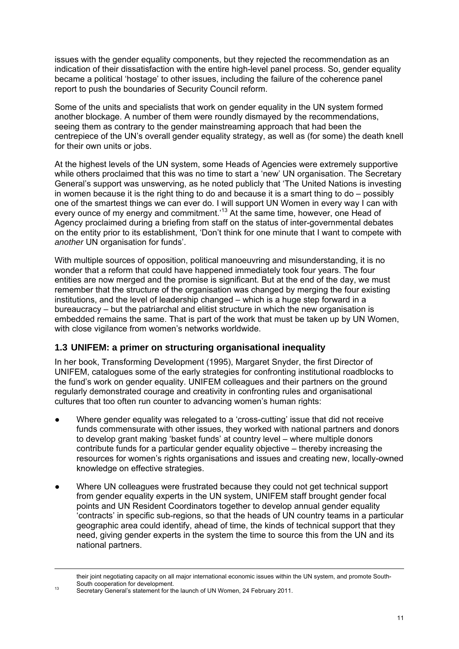issues with the gender equality components, but they rejected the recommendation as an indication of their dissatisfaction with the entire high-level panel process. So, gender equality became a political 'hostage' to other issues, including the failure of the coherence panel report to push the boundaries of Security Council reform.

Some of the units and specialists that work on gender equality in the UN system formed another blockage. A number of them were roundly dismayed by the recommendations, seeing them as contrary to the gender mainstreaming approach that had been the centrepiece of the UN's overall gender equality strategy, as well as (for some) the death knell for their own units or jobs.

At the highest levels of the UN system, some Heads of Agencies were extremely supportive while others proclaimed that this was no time to start a 'new' UN organisation. The Secretary General's support was unswerving, as he noted publicly that 'The United Nations is investing in women because it is the right thing to do and because it is a smart thing to do – possibly one of the smartest things we can ever do. I will support UN Women in every way I can with every ounce of my energy and commitment.'13 At the same time, however, one Head of Agency proclaimed during a briefing from staff on the status of inter-governmental debates on the entity prior to its establishment, 'Don't think for one minute that I want to compete with *another* UN organisation for funds'.

With multiple sources of opposition, political manoeuvring and misunderstanding, it is no wonder that a reform that could have happened immediately took four years. The four entities are now merged and the promise is significant. But at the end of the day, we must remember that the structure of the organisation was changed by merging the four existing institutions, and the level of leadership changed – which is a huge step forward in a bureaucracy – but the patriarchal and elitist structure in which the new organisation is embedded remains the same. That is part of the work that must be taken up by UN Women, with close vigilance from women's networks worldwide.

## **1.3 UNIFEM: a primer on structuring organisational inequality**

In her book, Transforming Development (1995), Margaret Snyder, the first Director of UNIFEM, catalogues some of the early strategies for confronting institutional roadblocks to the fund's work on gender equality. UNIFEM colleagues and their partners on the ground regularly demonstrated courage and creativity in confronting rules and organisational cultures that too often run counter to advancing women's human rights:

- Where gender equality was relegated to a 'cross-cutting' issue that did not receive funds commensurate with other issues, they worked with national partners and donors to develop grant making 'basket funds' at country level – where multiple donors contribute funds for a particular gender equality objective – thereby increasing the resources for women's rights organisations and issues and creating new, locally-owned knowledge on effective strategies.
- Where UN colleagues were frustrated because they could not get technical support from gender equality experts in the UN system, UNIFEM staff brought gender focal points and UN Resident Coordinators together to develop annual gender equality 'contracts' in specific sub-regions, so that the heads of UN country teams in a particular geographic area could identify, ahead of time, the kinds of technical support that they need, giving gender experts in the system the time to source this from the UN and its national partners.

<u>.</u>

their joint negotiating capacity on all major international economic issues within the UN system, and promote South-South cooperation for development.<br>13 Secretary General's statement for the launch of UN Women, 24 February 2011.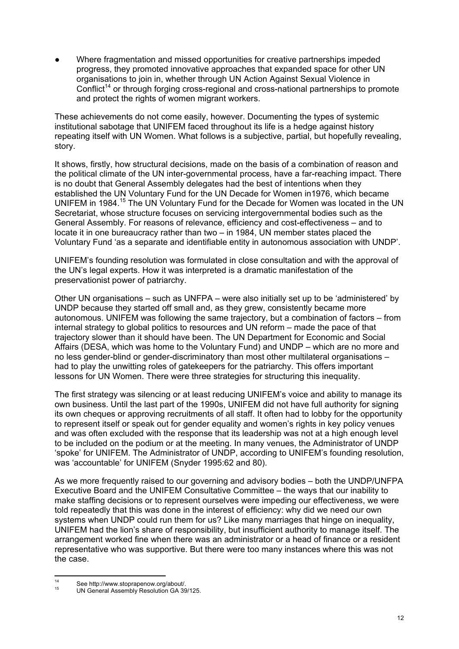Where fragmentation and missed opportunities for creative partnerships impeded progress, they promoted innovative approaches that expanded space for other UN organisations to join in, whether through UN Action Against Sexual Violence in Conflict<sup>14</sup> or through forging cross-regional and cross-national partnerships to promote and protect the rights of women migrant workers.

These achievements do not come easily, however. Documenting the types of systemic institutional sabotage that UNIFEM faced throughout its life is a hedge against history repeating itself with UN Women. What follows is a subjective, partial, but hopefully revealing, story.

It shows, firstly, how structural decisions, made on the basis of a combination of reason and the political climate of the UN inter-governmental process, have a far-reaching impact. There is no doubt that General Assembly delegates had the best of intentions when they established the UN Voluntary Fund for the UN Decade for Women in1976, which became UNIFEM in 1984.15 The UN Voluntary Fund for the Decade for Women was located in the UN Secretariat, whose structure focuses on servicing intergovernmental bodies such as the General Assembly. For reasons of relevance, efficiency and cost-effectiveness – and to locate it in one bureaucracy rather than two – in 1984, UN member states placed the Voluntary Fund 'as a separate and identifiable entity in autonomous association with UNDP'.

UNIFEM's founding resolution was formulated in close consultation and with the approval of the UN's legal experts. How it was interpreted is a dramatic manifestation of the preservationist power of patriarchy.

Other UN organisations – such as UNFPA – were also initially set up to be 'administered' by UNDP because they started off small and, as they grew, consistently became more autonomous. UNIFEM was following the same trajectory, but a combination of factors – from internal strategy to global politics to resources and UN reform – made the pace of that trajectory slower than it should have been. The UN Department for Economic and Social Affairs (DESA, which was home to the Voluntary Fund) and UNDP – which are no more and no less gender-blind or gender-discriminatory than most other multilateral organisations – had to play the unwitting roles of gatekeepers for the patriarchy. This offers important lessons for UN Women. There were three strategies for structuring this inequality.

The first strategy was silencing or at least reducing UNIFEM's voice and ability to manage its own business. Until the last part of the 1990s, UNIFEM did not have full authority for signing its own cheques or approving recruitments of all staff. It often had to lobby for the opportunity to represent itself or speak out for gender equality and women's rights in key policy venues and was often excluded with the response that its leadership was not at a high enough level to be included on the podium or at the meeting. In many venues, the Administrator of UNDP 'spoke' for UNIFEM. The Administrator of UNDP, according to UNIFEM's founding resolution, was 'accountable' for UNIFEM (Snyder 1995:62 and 80).

As we more frequently raised to our governing and advisory bodies – both the UNDP/UNFPA Executive Board and the UNIFEM Consultative Committee – the ways that our inability to make staffing decisions or to represent ourselves were impeding our effectiveness, we were told repeatedly that this was done in the interest of efficiency: why did we need our own systems when UNDP could run them for us? Like many marriages that hinge on inequality, UNIFEM had the lion's share of responsibility, but insufficient authority to manage itself. The arrangement worked fine when there was an administrator or a head of finance or a resident representative who was supportive. But there were too many instances where this was not the case.

 $\overline{44}$ <sup>14</sup> See http://www.stoprapenow.org/about/.<br><sup>15</sup> UN General Assembly Resolution GA 39/125.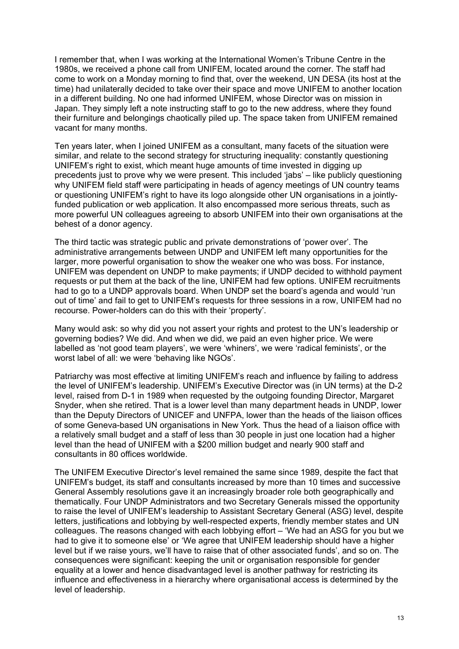I remember that, when I was working at the International Women's Tribune Centre in the 1980s, we received a phone call from UNIFEM, located around the corner. The staff had come to work on a Monday morning to find that, over the weekend, UN DESA (its host at the time) had unilaterally decided to take over their space and move UNIFEM to another location in a different building. No one had informed UNIFEM, whose Director was on mission in Japan. They simply left a note instructing staff to go to the new address, where they found their furniture and belongings chaotically piled up. The space taken from UNIFEM remained vacant for many months.

Ten years later, when I joined UNIFEM as a consultant, many facets of the situation were similar, and relate to the second strategy for structuring inequality: constantly questioning UNIFEM's right to exist, which meant huge amounts of time invested in digging up precedents just to prove why we were present. This included 'jabs' – like publicly questioning why UNIFEM field staff were participating in heads of agency meetings of UN country teams or questioning UNIFEM's right to have its logo alongside other UN organisations in a jointlyfunded publication or web application. It also encompassed more serious threats, such as more powerful UN colleagues agreeing to absorb UNIFEM into their own organisations at the behest of a donor agency.

The third tactic was strategic public and private demonstrations of 'power over'. The administrative arrangements between UNDP and UNIFEM left many opportunities for the larger, more powerful organisation to show the weaker one who was boss. For instance, UNIFEM was dependent on UNDP to make payments; if UNDP decided to withhold payment requests or put them at the back of the line, UNIFEM had few options. UNIFEM recruitments had to go to a UNDP approvals board. When UNDP set the board's agenda and would 'run out of time' and fail to get to UNIFEM's requests for three sessions in a row, UNIFEM had no recourse. Power-holders can do this with their 'property'.

Many would ask: so why did you not assert your rights and protest to the UN's leadership or governing bodies? We did. And when we did, we paid an even higher price. We were labelled as 'not good team players', we were 'whiners', we were 'radical feminists', or the worst label of all: we were 'behaving like NGOs'.

Patriarchy was most effective at limiting UNIFEM's reach and influence by failing to address the level of UNIFEM's leadership. UNIFEM's Executive Director was (in UN terms) at the D-2 level, raised from D-1 in 1989 when requested by the outgoing founding Director, Margaret Snyder, when she retired. That is a lower level than many department heads in UNDP, lower than the Deputy Directors of UNICEF and UNFPA, lower than the heads of the liaison offices of some Geneva-based UN organisations in New York. Thus the head of a liaison office with a relatively small budget and a staff of less than 30 people in just one location had a higher level than the head of UNIFEM with a \$200 million budget and nearly 900 staff and consultants in 80 offices worldwide.

The UNIFEM Executive Director's level remained the same since 1989, despite the fact that UNIFEM's budget, its staff and consultants increased by more than 10 times and successive General Assembly resolutions gave it an increasingly broader role both geographically and thematically. Four UNDP Administrators and two Secretary Generals missed the opportunity to raise the level of UNIFEM's leadership to Assistant Secretary General (ASG) level, despite letters, justifications and lobbying by well-respected experts, friendly member states and UN colleagues. The reasons changed with each lobbying effort – 'We had an ASG for you but we had to give it to someone else' or 'We agree that UNIFEM leadership should have a higher level but if we raise yours, we'll have to raise that of other associated funds', and so on. The consequences were significant: keeping the unit or organisation responsible for gender equality at a lower and hence disadvantaged level is another pathway for restricting its influence and effectiveness in a hierarchy where organisational access is determined by the level of leadership.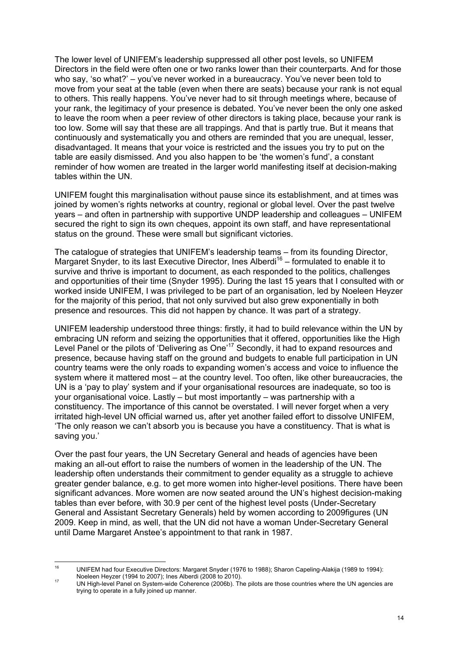The lower level of UNIFEM's leadership suppressed all other post levels, so UNIFEM Directors in the field were often one or two ranks lower than their counterparts. And for those who say, 'so what?' – you've never worked in a bureaucracy. You've never been told to move from your seat at the table (even when there are seats) because your rank is not equal to others. This really happens. You've never had to sit through meetings where, because of your rank, the legitimacy of your presence is debated. You've never been the only one asked to leave the room when a peer review of other directors is taking place, because your rank is too low. Some will say that these are all trappings. And that is partly true. But it means that continuously and systematically you and others are reminded that you are unequal, lesser, disadvantaged. It means that your voice is restricted and the issues you try to put on the table are easily dismissed. And you also happen to be 'the women's fund', a constant reminder of how women are treated in the larger world manifesting itself at decision-making tables within the UN.

UNIFEM fought this marginalisation without pause since its establishment, and at times was joined by women's rights networks at country, regional or global level. Over the past twelve years – and often in partnership with supportive UNDP leadership and colleagues – UNIFEM secured the right to sign its own cheques, appoint its own staff, and have representational status on the ground. These were small but significant victories.

The catalogue of strategies that UNIFEM's leadership teams – from its founding Director, Margaret Snyder, to its last Executive Director, Ines Alberdi<sup>16</sup> – formulated to enable it to survive and thrive is important to document, as each responded to the politics, challenges and opportunities of their time (Snyder 1995). During the last 15 years that I consulted with or worked inside UNIFEM, I was privileged to be part of an organisation, led by Noeleen Heyzer for the majority of this period, that not only survived but also grew exponentially in both presence and resources. This did not happen by chance. It was part of a strategy.

UNIFEM leadership understood three things: firstly, it had to build relevance within the UN by embracing UN reform and seizing the opportunities that it offered, opportunities like the High Level Panel or the pilots of 'Delivering as One<sup>17</sup> Secondly, it had to expand resources and presence, because having staff on the ground and budgets to enable full participation in UN country teams were the only roads to expanding women's access and voice to influence the system where it mattered most – at the country level. Too often, like other bureaucracies, the UN is a 'pay to play' system and if your organisational resources are inadequate, so too is your organisational voice. Lastly – but most importantly – was partnership with a constituency. The importance of this cannot be overstated. I will never forget when a very irritated high-level UN official warned us, after yet another failed effort to dissolve UNIFEM, 'The only reason we can't absorb you is because you have a constituency. That is what is saving you.'

Over the past four years, the UN Secretary General and heads of agencies have been making an all-out effort to raise the numbers of women in the leadership of the UN. The leadership often understands their commitment to gender equality as a struggle to achieve greater gender balance, e.g. to get more women into higher-level positions. There have been significant advances. More women are now seated around the UN's highest decision-making tables than ever before, with 30.9 per cent of the highest level posts (Under-Secretary General and Assistant Secretary Generals) held by women according to 2009figures (UN 2009. Keep in mind, as well, that the UN did not have a woman Under-Secretary General until Dame Margaret Anstee's appointment to that rank in 1987.

 $16$ UNIFEM had four Executive Directors: Margaret Snyder (1976 to 1988); Sharon Capeling-Alakija (1989 to 1994): Noeleen Heyzer (1994 to 2007); Ines Alberdi (2008 to 2010).

Noeleen Heyzer (1994 to 2007); Intervision (2006 to 2010).<br>UN High-level Panel on System-wide Coherence (2006b). The pilots are those countries where the UN agencies are trying to operate in a fully joined up manner.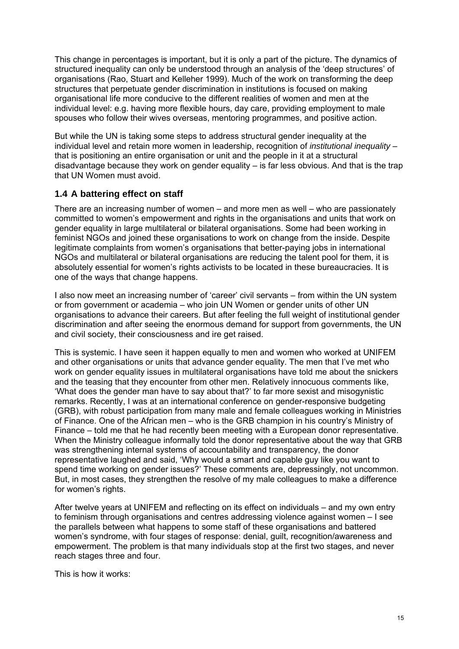This change in percentages is important, but it is only a part of the picture. The dynamics of structured inequality can only be understood through an analysis of the 'deep structures' of organisations (Rao, Stuart and Kelleher 1999). Much of the work on transforming the deep structures that perpetuate gender discrimination in institutions is focused on making organisational life more conducive to the different realities of women and men at the individual level: e.g. having more flexible hours, day care, providing employment to male spouses who follow their wives overseas, mentoring programmes, and positive action.

But while the UN is taking some steps to address structural gender inequality at the individual level and retain more women in leadership, recognition of *institutional inequality* – that is positioning an entire organisation or unit and the people in it at a structural disadvantage because they work on gender equality – is far less obvious. And that is the trap that UN Women must avoid.

#### **1.4 A battering effect on staff**

There are an increasing number of women – and more men as well – who are passionately committed to women's empowerment and rights in the organisations and units that work on gender equality in large multilateral or bilateral organisations. Some had been working in feminist NGOs and joined these organisations to work on change from the inside. Despite legitimate complaints from women's organisations that better-paying jobs in international NGOs and multilateral or bilateral organisations are reducing the talent pool for them, it is absolutely essential for women's rights activists to be located in these bureaucracies. It is one of the ways that change happens.

I also now meet an increasing number of 'career' civil servants – from within the UN system or from government or academia – who join UN Women or gender units of other UN organisations to advance their careers. But after feeling the full weight of institutional gender discrimination and after seeing the enormous demand for support from governments, the UN and civil society, their consciousness and ire get raised.

This is systemic. I have seen it happen equally to men and women who worked at UNIFEM and other organisations or units that advance gender equality. The men that I've met who work on gender equality issues in multilateral organisations have told me about the snickers and the teasing that they encounter from other men. Relatively innocuous comments like, 'What does the gender man have to say about that?' to far more sexist and misogynistic remarks. Recently, I was at an international conference on gender-responsive budgeting (GRB), with robust participation from many male and female colleagues working in Ministries of Finance. One of the African men – who is the GRB champion in his country's Ministry of Finance – told me that he had recently been meeting with a European donor representative. When the Ministry colleague informally told the donor representative about the way that GRB was strengthening internal systems of accountability and transparency, the donor representative laughed and said, 'Why would a smart and capable guy like you want to spend time working on gender issues?' These comments are, depressingly, not uncommon. But, in most cases, they strengthen the resolve of my male colleagues to make a difference for women's rights.

After twelve years at UNIFEM and reflecting on its effect on individuals – and my own entry to feminism through organisations and centres addressing violence against women – I see the parallels between what happens to some staff of these organisations and battered women's syndrome, with four stages of response: denial, guilt, recognition/awareness and empowerment. The problem is that many individuals stop at the first two stages, and never reach stages three and four.

This is how it works: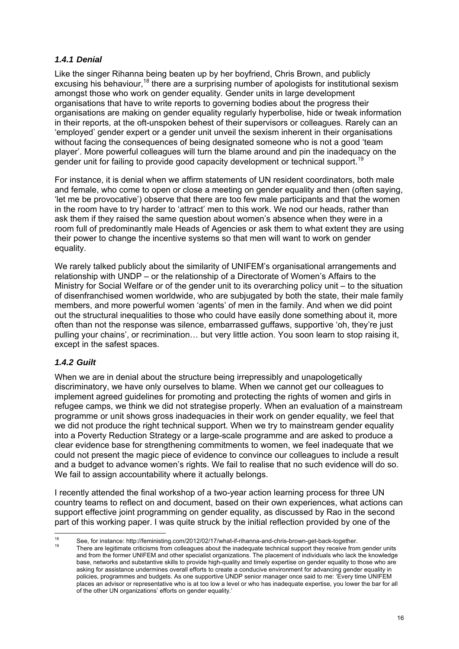#### *1.4.1 Denial*

Like the singer Rihanna being beaten up by her boyfriend, Chris Brown, and publicly excusing his behaviour,<sup>18</sup> there are a surprising number of apologists for institutional sexism amongst those who work on gender equality. Gender units in large development organisations that have to write reports to governing bodies about the progress their organisations are making on gender equality regularly hyperbolise, hide or tweak information in their reports, at the oft-unspoken behest of their supervisors or colleagues. Rarely can an 'employed' gender expert or a gender unit unveil the sexism inherent in their organisations without facing the consequences of being designated someone who is not a good 'team player'. More powerful colleagues will turn the blame around and pin the inadequacy on the gender unit for failing to provide good capacity development or technical support.<sup>19</sup>

For instance, it is denial when we affirm statements of UN resident coordinators, both male and female, who come to open or close a meeting on gender equality and then (often saying, 'let me be provocative') observe that there are too few male participants and that the women in the room have to try harder to 'attract' men to this work. We nod our heads, rather than ask them if they raised the same question about women's absence when they were in a room full of predominantly male Heads of Agencies or ask them to what extent they are using their power to change the incentive systems so that men will want to work on gender equality.

We rarely talked publicly about the similarity of UNIFEM's organisational arrangements and relationship with UNDP – or the relationship of a Directorate of Women's Affairs to the Ministry for Social Welfare or of the gender unit to its overarching policy unit – to the situation of disenfranchised women worldwide, who are subjugated by both the state, their male family members, and more powerful women 'agents' of men in the family. And when we did point out the structural inequalities to those who could have easily done something about it, more often than not the response was silence, embarrassed guffaws, supportive 'oh, they're just pulling your chains', or recrimination… but very little action. You soon learn to stop raising it, except in the safest spaces.

#### *1.4.2 Guilt*

When we are in denial about the structure being irrepressibly and unapologetically discriminatory, we have only ourselves to blame. When we cannot get our colleagues to implement agreed guidelines for promoting and protecting the rights of women and girls in refugee camps, we think we did not strategise properly. When an evaluation of a mainstream programme or unit shows gross inadequacies in their work on gender equality, we feel that we did not produce the right technical support. When we try to mainstream gender equality into a Poverty Reduction Strategy or a large-scale programme and are asked to produce a clear evidence base for strengthening commitments to women, we feel inadequate that we could not present the magic piece of evidence to convince our colleagues to include a result and a budget to advance women's rights. We fail to realise that no such evidence will do so. We fail to assign accountability where it actually belongs.

I recently attended the final workshop of a two-year action learning process for three UN country teams to reflect on and document, based on their own experiences, what actions can support effective joint programming on gender equality, as discussed by Rao in the second part of this working paper. I was quite struck by the initial reflection provided by one of the

<sup>18</sup> See, for instance: http://feministing.com/2012/02/17/what-if-rihanna-and-chris-brown-get-back-together.<br><sup>19</sup> There are legitimate criticisms from colleagues about the inadeguate technical support they receive from gender u and from the former UNIFEM and other specialist organizations. The placement of individuals who lack the knowledge base, networks and substantive skills to provide high-quality and timely expertise on gender equality to those who are asking for assistance undermines overall efforts to create a conducive environment for advancing gender equality in policies, programmes and budgets. As one supportive UNDP senior manager once said to me: 'Every time UNIFEM places an advisor or representative who is at too low a level or who has inadequate expertise, you lower the bar for all of the other UN organizations' efforts on gender equality.'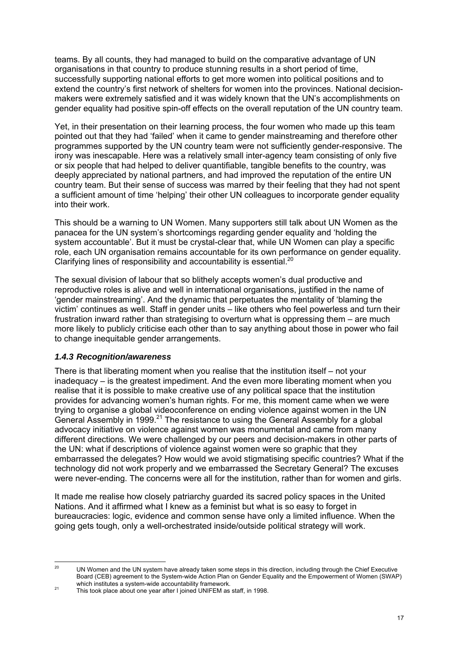teams. By all counts, they had managed to build on the comparative advantage of UN organisations in that country to produce stunning results in a short period of time, successfully supporting national efforts to get more women into political positions and to extend the country's first network of shelters for women into the provinces. National decisionmakers were extremely satisfied and it was widely known that the UN's accomplishments on gender equality had positive spin-off effects on the overall reputation of the UN country team.

Yet, in their presentation on their learning process, the four women who made up this team pointed out that they had 'failed' when it came to gender mainstreaming and therefore other programmes supported by the UN country team were not sufficiently gender-responsive. The irony was inescapable. Here was a relatively small inter-agency team consisting of only five or six people that had helped to deliver quantifiable, tangible benefits to the country, was deeply appreciated by national partners, and had improved the reputation of the entire UN country team. But their sense of success was marred by their feeling that they had not spent a sufficient amount of time 'helping' their other UN colleagues to incorporate gender equality into their work.

This should be a warning to UN Women. Many supporters still talk about UN Women as the panacea for the UN system's shortcomings regarding gender equality and 'holding the system accountable'. But it must be crystal-clear that, while UN Women can play a specific role, each UN organisation remains accountable for its own performance on gender equality. Clarifying lines of responsibility and accountability is essential.<sup>20</sup>

The sexual division of labour that so blithely accepts women's dual productive and reproductive roles is alive and well in international organisations, justified in the name of 'gender mainstreaming'. And the dynamic that perpetuates the mentality of 'blaming the victim' continues as well. Staff in gender units – like others who feel powerless and turn their frustration inward rather than strategising to overturn what is oppressing them – are much more likely to publicly criticise each other than to say anything about those in power who fail to change inequitable gender arrangements.

#### *1.4.3 Recognition/awareness*

There is that liberating moment when you realise that the institution itself – not your inadequacy – is the greatest impediment. And the even more liberating moment when you realise that it is possible to make creative use of any political space that the institution provides for advancing women's human rights. For me, this moment came when we were trying to organise a global videoconference on ending violence against women in the UN General Assembly in 1999. $2^1$  The resistance to using the General Assembly for a global advocacy initiative on violence against women was monumental and came from many different directions. We were challenged by our peers and decision-makers in other parts of the UN: what if descriptions of violence against women were so graphic that they embarrassed the delegates? How would we avoid stigmatising specific countries? What if the technology did not work properly and we embarrassed the Secretary General? The excuses were never-ending. The concerns were all for the institution, rather than for women and girls.

It made me realise how closely patriarchy guarded its sacred policy spaces in the United Nations. And it affirmed what I knew as a feminist but what is so easy to forget in bureaucracies: logic, evidence and common sense have only a limited influence. When the going gets tough, only a well-orchestrated inside/outside political strategy will work.

 $20$ UN Women and the UN system have already taken some steps in this direction, including through the Chief Executive Board (CEB) agreement to the System-wide Action Plan on Gender Equality and the Empowerment of Women (SWAP)

which institutes a system-wide accountability framework.<br><sup>21</sup> This took place about one year after I joined UNIFEM as staff, in 1998.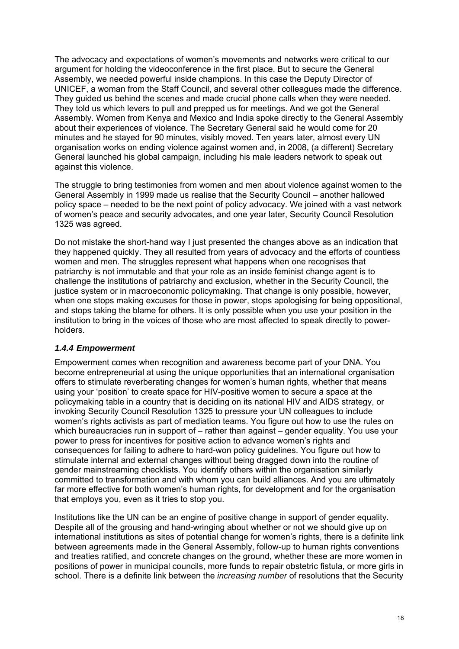The advocacy and expectations of women's movements and networks were critical to our argument for holding the videoconference in the first place. But to secure the General Assembly, we needed powerful inside champions. In this case the Deputy Director of UNICEF, a woman from the Staff Council, and several other colleagues made the difference. They guided us behind the scenes and made crucial phone calls when they were needed. They told us which levers to pull and prepped us for meetings. And we got the General Assembly. Women from Kenya and Mexico and India spoke directly to the General Assembly about their experiences of violence. The Secretary General said he would come for 20 minutes and he stayed for 90 minutes, visibly moved. Ten years later, almost every UN organisation works on ending violence against women and, in 2008, (a different) Secretary General launched his global campaign, including his male leaders network to speak out against this violence.

The struggle to bring testimonies from women and men about violence against women to the General Assembly in 1999 made us realise that the Security Council – another hallowed policy space – needed to be the next point of policy advocacy. We joined with a vast network of women's peace and security advocates, and one year later, Security Council Resolution 1325 was agreed.

Do not mistake the short-hand way I just presented the changes above as an indication that they happened quickly. They all resulted from years of advocacy and the efforts of countless women and men. The struggles represent what happens when one recognises that patriarchy is not immutable and that your role as an inside feminist change agent is to challenge the institutions of patriarchy and exclusion, whether in the Security Council, the justice system or in macroeconomic policymaking. That change is only possible, however, when one stops making excuses for those in power, stops apologising for being oppositional, and stops taking the blame for others. It is only possible when you use your position in the institution to bring in the voices of those who are most affected to speak directly to powerholders.

#### *1.4.4 Empowerment*

Empowerment comes when recognition and awareness become part of your DNA. You become entrepreneurial at using the unique opportunities that an international organisation offers to stimulate reverberating changes for women's human rights, whether that means using your 'position' to create space for HIV-positive women to secure a space at the policymaking table in a country that is deciding on its national HIV and AIDS strategy, or invoking Security Council Resolution 1325 to pressure your UN colleagues to include women's rights activists as part of mediation teams. You figure out how to use the rules on which bureaucracies run in support of – rather than against – gender equality. You use your power to press for incentives for positive action to advance women's rights and consequences for failing to adhere to hard-won policy guidelines. You figure out how to stimulate internal and external changes without being dragged down into the routine of gender mainstreaming checklists. You identify others within the organisation similarly committed to transformation and with whom you can build alliances. And you are ultimately far more effective for both women's human rights, for development and for the organisation that employs you, even as it tries to stop you.

Institutions like the UN can be an engine of positive change in support of gender equality. Despite all of the grousing and hand-wringing about whether or not we should give up on international institutions as sites of potential change for women's rights, there is a definite link between agreements made in the General Assembly, follow-up to human rights conventions and treaties ratified, and concrete changes on the ground, whether these are more women in positions of power in municipal councils, more funds to repair obstetric fistula, or more girls in school. There is a definite link between the *increasing number* of resolutions that the Security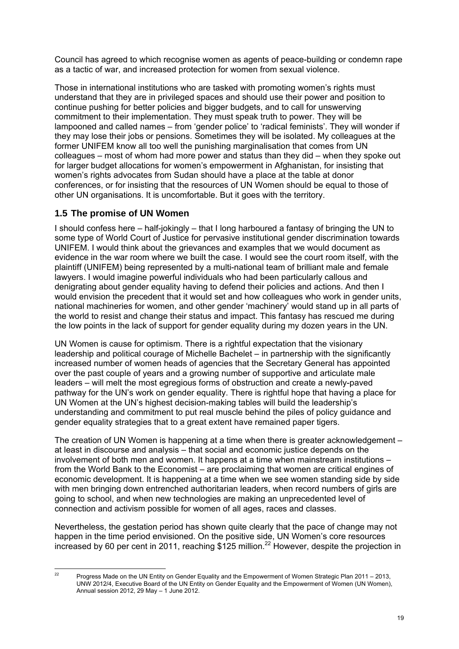Council has agreed to which recognise women as agents of peace-building or condemn rape as a tactic of war, and increased protection for women from sexual violence.

Those in international institutions who are tasked with promoting women's rights must understand that they are in privileged spaces and should use their power and position to continue pushing for better policies and bigger budgets, and to call for unswerving commitment to their implementation. They must speak truth to power. They will be lampooned and called names – from 'gender police' to 'radical feminists'. They will wonder if they may lose their jobs or pensions. Sometimes they will be isolated. My colleagues at the former UNIFEM know all too well the punishing marginalisation that comes from UN colleagues – most of whom had more power and status than they did – when they spoke out for larger budget allocations for women's empowerment in Afghanistan, for insisting that women's rights advocates from Sudan should have a place at the table at donor conferences, or for insisting that the resources of UN Women should be equal to those of other UN organisations. It is uncomfortable. But it goes with the territory.

## **1.5 The promise of UN Women**

I should confess here – half-jokingly – that I long harboured a fantasy of bringing the UN to some type of World Court of Justice for pervasive institutional gender discrimination towards UNIFEM. I would think about the grievances and examples that we would document as evidence in the war room where we built the case. I would see the court room itself, with the plaintiff (UNIFEM) being represented by a multi-national team of brilliant male and female lawyers. I would imagine powerful individuals who had been particularly callous and denigrating about gender equality having to defend their policies and actions. And then I would envision the precedent that it would set and how colleagues who work in gender units, national machineries for women, and other gender 'machinery' would stand up in all parts of the world to resist and change their status and impact. This fantasy has rescued me during the low points in the lack of support for gender equality during my dozen years in the UN.

UN Women is cause for optimism. There is a rightful expectation that the visionary leadership and political courage of Michelle Bachelet – in partnership with the significantly increased number of women heads of agencies that the Secretary General has appointed over the past couple of years and a growing number of supportive and articulate male leaders – will melt the most egregious forms of obstruction and create a newly-paved pathway for the UN's work on gender equality. There is rightful hope that having a place for UN Women at the UN's highest decision-making tables will build the leadership's understanding and commitment to put real muscle behind the piles of policy guidance and gender equality strategies that to a great extent have remained paper tigers.

The creation of UN Women is happening at a time when there is greater acknowledgement – at least in discourse and analysis – that social and economic justice depends on the involvement of both men and women. It happens at a time when mainstream institutions – from the World Bank to the Economist – are proclaiming that women are critical engines of economic development. It is happening at a time when we see women standing side by side with men bringing down entrenched authoritarian leaders, when record numbers of girls are going to school, and when new technologies are making an unprecedented level of connection and activism possible for women of all ages, races and classes.

Nevertheless, the gestation period has shown quite clearly that the pace of change may not happen in the time period envisioned. On the positive side, UN Women's core resources increased by 60 per cent in 2011, reaching  $$125$  million.<sup>22</sup> However, despite the projection in

 $\overline{22}$ 

<sup>22</sup> Progress Made on the UN Entity on Gender Equality and the Empowerment of Women Strategic Plan 2011 – 2013, UNW 2012/4, Executive Board of the UN Entity on Gender Equality and the Empowerment of Women (UN Women), Annual session 2012, 29 May – 1 June 2012.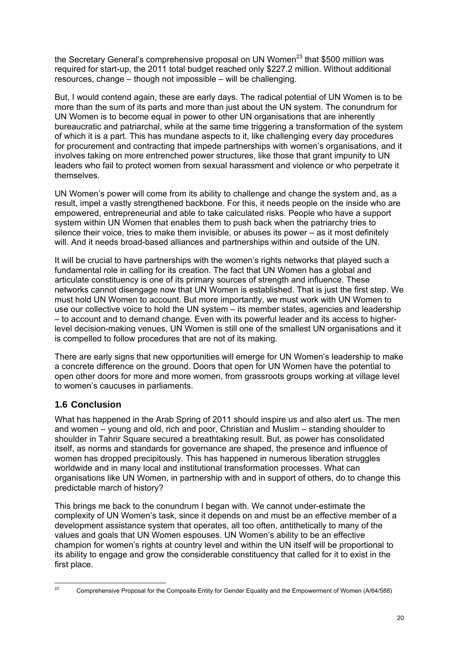the Secretary General's comprehensive proposal on UN Women $^{23}$  that \$500 million was required for start-up, the 2011 total budget reached only \$227.2 million. Without additional resources, change – though not impossible – will be challenging.

But, I would contend again, these are early days. The radical potential of UN Women is to be more than the sum of its parts and more than just about the UN system. The conundrum for UN Women is to become equal in power to other UN organisations that are inherently bureaucratic and patriarchal, while at the same time triggering a transformation of the system of which it is a part. This has mundane aspects to it, like challenging every day procedures for procurement and contracting that impede partnerships with women's organisations, and it involves taking on more entrenched power structures, like those that grant impunity to UN leaders who fail to protect women from sexual harassment and violence or who perpetrate it themselves.

UN Women's power will come from its ability to challenge and change the system and, as a result, impel a vastly strengthened backbone. For this, it needs people on the inside who are empowered, entrepreneurial and able to take calculated risks. People who have a support system within UN Women that enables them to push back when the patriarchy tries to silence their voice, tries to make them invisible, or abuses its power – as it most definitely will. And it needs broad-based alliances and partnerships within and outside of the UN.

It will be crucial to have partnerships with the women's rights networks that played such a fundamental role in calling for its creation. The fact that UN Women has a global and articulate constituency is one of its primary sources of strength and influence. These networks cannot disengage now that UN Women is established. That is just the first step. We must hold UN Women to account. But more importantly, we must work with UN Women to use our collective voice to hold the UN system – its member states, agencies and leadership – to account and to demand change. Even with its powerful leader and its access to higherlevel decision-making venues, UN Women is still one of the smallest UN organisations and it is compelled to follow procedures that are not of its making.

There are early signs that new opportunities will emerge for UN Women's leadership to make a concrete difference on the ground. Doors that open for UN Women have the potential to open other doors for more and more women, from grassroots groups working at village level to women's caucuses in parliaments.

## **1.6 Conclusion**

What has happened in the Arab Spring of 2011 should inspire us and also alert us. The men and women – young and old, rich and poor, Christian and Muslim – standing shoulder to shoulder in Tahrir Square secured a breathtaking result. But, as power has consolidated itself, as norms and standards for governance are shaped, the presence and influence of women has dropped precipitously. This has happened in numerous liberation struggles worldwide and in many local and institutional transformation processes. What can organisations like UN Women, in partnership with and in support of others, do to change this predictable march of history?

This brings me back to the conundrum I began with. We cannot under-estimate the complexity of UN Women's task, since it depends on and must be an effective member of a development assistance system that operates, all too often, antithetically to many of the values and goals that UN Women espouses. UN Women's ability to be an effective champion for women's rights at country level and within the UN itself will be proportional to its ability to engage and grow the considerable constituency that called for it to exist in the first place.

 $23$ 23 Comprehensive Proposal for the Composite Entity for Gender Equality and the Empowerment of Women (A/64/588)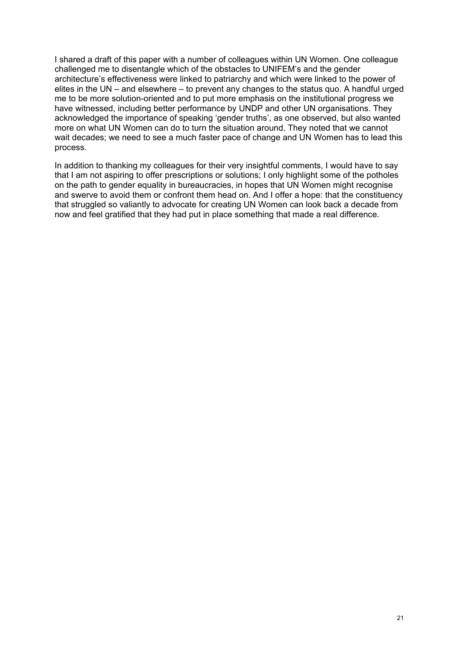I shared a draft of this paper with a number of colleagues within UN Women. One colleague challenged me to disentangle which of the obstacles to UNIFEM's and the gender architecture's effectiveness were linked to patriarchy and which were linked to the power of elites in the UN – and elsewhere – to prevent any changes to the status quo. A handful urged me to be more solution-oriented and to put more emphasis on the institutional progress we have witnessed, including better performance by UNDP and other UN organisations. They acknowledged the importance of speaking 'gender truths', as one observed, but also wanted more on what UN Women can do to turn the situation around. They noted that we cannot wait decades; we need to see a much faster pace of change and UN Women has to lead this process.

In addition to thanking my colleagues for their very insightful comments, I would have to say that I am not aspiring to offer prescriptions or solutions; I only highlight some of the potholes on the path to gender equality in bureaucracies, in hopes that UN Women might recognise and swerve to avoid them or confront them head on. And I offer a hope: that the constituency that struggled so valiantly to advocate for creating UN Women can look back a decade from now and feel gratified that they had put in place something that made a real difference.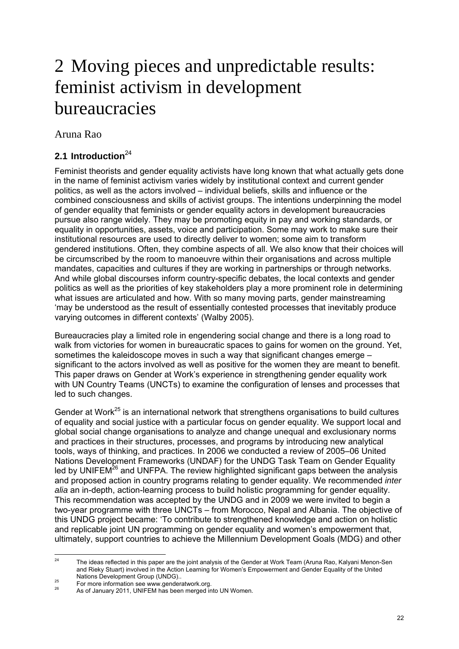## 2 Moving pieces and unpredictable results: feminist activism in development bureaucracies

## Aruna Rao

## 2.1 Introduction<sup>24</sup>

Feminist theorists and gender equality activists have long known that what actually gets done in the name of feminist activism varies widely by institutional context and current gender politics, as well as the actors involved – individual beliefs, skills and influence or the combined consciousness and skills of activist groups. The intentions underpinning the model of gender equality that feminists or gender equality actors in development bureaucracies pursue also range widely. They may be promoting equity in pay and working standards, or equality in opportunities, assets, voice and participation. Some may work to make sure their institutional resources are used to directly deliver to women; some aim to transform gendered institutions. Often, they combine aspects of all. We also know that their choices will be circumscribed by the room to manoeuvre within their organisations and across multiple mandates, capacities and cultures if they are working in partnerships or through networks. And while global discourses inform country-specific debates, the local contexts and gender politics as well as the priorities of key stakeholders play a more prominent role in determining what issues are articulated and how. With so many moving parts, gender mainstreaming 'may be understood as the result of essentially contested processes that inevitably produce varying outcomes in different contexts' (Walby 2005).

Bureaucracies play a limited role in engendering social change and there is a long road to walk from victories for women in bureaucratic spaces to gains for women on the ground. Yet, sometimes the kaleidoscope moves in such a way that significant changes emerge – significant to the actors involved as well as positive for the women they are meant to benefit. This paper draws on Gender at Work's experience in strengthening gender equality work with UN Country Teams (UNCTs) to examine the configuration of lenses and processes that led to such changes.

Gender at Work<sup>25</sup> is an international network that strengthens organisations to build cultures of equality and social justice with a particular focus on gender equality. We support local and global social change organisations to analyze and change unequal and exclusionary norms and practices in their structures, processes, and programs by introducing new analytical tools, ways of thinking, and practices. In 2006 we conducted a review of 2005–06 United Nations Development Frameworks (UNDAF) for the UNDG Task Team on Gender Equality led by UNIFEM $^{26}$  and UNFPA. The review highlighted significant gaps between the analysis and proposed action in country programs relating to gender equality. We recommended *inter alia* an in-depth, action-learning process to build holistic programming for gender equality. This recommendation was accepted by the UNDG and in 2009 we were invited to begin a two-year programme with three UNCTs – from Morocco, Nepal and Albania. The objective of this UNDG project became: 'To contribute to strengthened knowledge and action on holistic and replicable joint UN programming on gender equality and women's empowerment that, ultimately, support countries to achieve the Millennium Development Goals (MDG) and other

 $24$ 24 The ideas reflected in this paper are the joint analysis of the Gender at Work Team (Aruna Rao, Kalyani Menon-Sen and Rieky Stuart) involved in the Action Learning for Women's Empowerment and Gender Equality of the United Nations Development Group (UNDG)..

<sup>25</sup> For more information see www.genderatwork.org.<br><sup>26</sup> As of January 2011, UNIFEM has been merged into UN Women.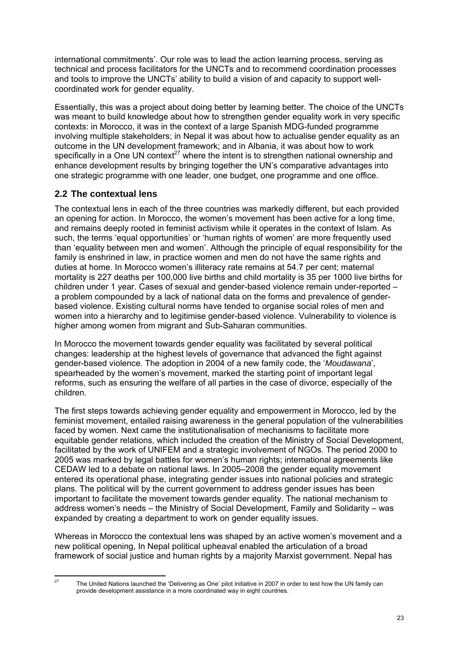international commitments'. Our role was to lead the action learning process, serving as technical and process facilitators for the UNCTs and to recommend coordination processes and tools to improve the UNCTs' ability to build a vision of and capacity to support wellcoordinated work for gender equality.

Essentially, this was a project about doing better by learning better. The choice of the UNCTs was meant to build knowledge about how to strengthen gender equality work in very specific contexts: in Morocco, it was in the context of a large Spanish MDG-funded programme involving multiple stakeholders; in Nepal it was about how to actualise gender equality as an outcome in the UN development framework; and in Albania, it was about how to work specifically in a One UN context<sup>27</sup> where the intent is to strengthen national ownership and enhance development results by bringing together the UN's comparative advantages into one strategic programme with one leader, one budget, one programme and one office.

## **2.2 The contextual lens**

The contextual lens in each of the three countries was markedly different, but each provided an opening for action. In Morocco, the women's movement has been active for a long time, and remains deeply rooted in feminist activism while it operates in the context of Islam. As such, the terms 'equal opportunities' or 'human rights of women' are more frequently used than 'equality between men and women'. Although the principle of equal responsibility for the family is enshrined in law, in practice women and men do not have the same rights and duties at home. In Morocco women's illiteracy rate remains at 54.7 per cent; maternal mortality is 227 deaths per 100,000 live births and child mortality is 35 per 1000 live births for children under 1 year. Cases of sexual and gender-based violence remain under-reported – a problem compounded by a lack of national data on the forms and prevalence of genderbased violence. Existing cultural norms have tended to organise social roles of men and women into a hierarchy and to legitimise gender-based violence. Vulnerability to violence is higher among women from migrant and Sub-Saharan communities.

In Morocco the movement towards gender equality was facilitated by several political changes: leadership at the highest levels of governance that advanced the fight against gender-based violence. The adoption in 2004 of a new family code, the '*Moudawana*', spearheaded by the women's movement, marked the starting point of important legal reforms, such as ensuring the welfare of all parties in the case of divorce, especially of the children.

The first steps towards achieving gender equality and empowerment in Morocco, led by the feminist movement, entailed raising awareness in the general population of the vulnerabilities faced by women. Next came the institutionalisation of mechanisms to facilitate more equitable gender relations, which included the creation of the Ministry of Social Development, facilitated by the work of UNIFEM and a strategic involvement of NGOs. The period 2000 to 2005 was marked by legal battles for women's human rights; international agreements like CEDAW led to a debate on national laws. In 2005–2008 the gender equality movement entered its operational phase, integrating gender issues into national policies and strategic plans. The political will by the current government to address gender issues has been important to facilitate the movement towards gender equality. The national mechanism to address women's needs – the Ministry of Social Development, Family and Solidarity – was expanded by creating a department to work on gender equality issues.

Whereas in Morocco the contextual lens was shaped by an active women's movement and a new political opening, In Nepal political upheaval enabled the articulation of a broad framework of social justice and human rights by a majority Marxist government. Nepal has

 $\overline{2}$ The United Nations launched the 'Delivering as One' pilot initiative in 2007 in order to test how the UN family can provide development assistance in a more coordinated way in eight countries.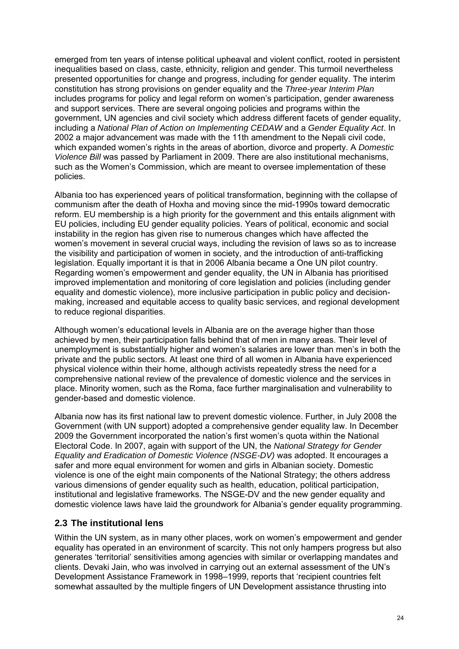emerged from ten years of intense political upheaval and violent conflict, rooted in persistent inequalities based on class, caste, ethnicity, religion and gender. This turmoil nevertheless presented opportunities for change and progress, including for gender equality. The interim constitution has strong provisions on gender equality and the *Three-year Interim Plan* includes programs for policy and legal reform on women's participation, gender awareness and support services. There are several ongoing policies and programs within the government, UN agencies and civil society which address different facets of gender equality, including a *National Plan of Action on Implementing CEDAW* and a *Gender Equality Act*. In 2002 a major advancement was made with the 11th amendment to the Nepali civil code, which expanded women's rights in the areas of abortion, divorce and property. A *Domestic Violence Bill* was passed by Parliament in 2009. There are also institutional mechanisms, such as the Women's Commission, which are meant to oversee implementation of these policies.

Albania too has experienced years of political transformation, beginning with the collapse of communism after the death of Hoxha and moving since the mid-1990s toward democratic reform. EU membership is a high priority for the government and this entails alignment with EU policies, including EU gender equality policies. Years of political, economic and social instability in the region has given rise to numerous changes which have affected the women's movement in several crucial ways, including the revision of laws so as to increase the visibility and participation of women in society, and the introduction of anti-trafficking legislation. Equally important it is that in 2006 Albania became a One UN pilot country. Regarding women's empowerment and gender equality, the UN in Albania has prioritised improved implementation and monitoring of core legislation and policies (including gender equality and domestic violence), more inclusive participation in public policy and decisionmaking, increased and equitable access to quality basic services, and regional development to reduce regional disparities.

Although women's educational levels in Albania are on the average higher than those achieved by men, their participation falls behind that of men in many areas. Their level of unemployment is substantially higher and women's salaries are lower than men's in both the private and the public sectors. At least one third of all women in Albania have experienced physical violence within their home, although activists repeatedly stress the need for a comprehensive national review of the prevalence of domestic violence and the services in place. Minority women, such as the Roma, face further marginalisation and vulnerability to gender-based and domestic violence.

Albania now has its first national law to prevent domestic violence. Further, in July 2008 the Government (with UN support) adopted a comprehensive gender equality law. In December 2009 the Government incorporated the nation's first women's quota within the National Electoral Code. In 2007, again with support of the UN, the *National Strategy for Gender Equality and Eradication of Domestic Violence (NSGE-DV)* was adopted. It encourages a safer and more equal environment for women and girls in Albanian society. Domestic violence is one of the eight main components of the National Strategy; the others address various dimensions of gender equality such as health, education, political participation, institutional and legislative frameworks. The NSGE-DV and the new gender equality and domestic violence laws have laid the groundwork for Albania's gender equality programming.

#### **2.3 The institutional lens**

Within the UN system, as in many other places, work on women's empowerment and gender equality has operated in an environment of scarcity. This not only hampers progress but also generates 'territorial' sensitivities among agencies with similar or overlapping mandates and clients. Devaki Jain, who was involved in carrying out an external assessment of the UN's Development Assistance Framework in 1998–1999, reports that 'recipient countries felt somewhat assaulted by the multiple fingers of UN Development assistance thrusting into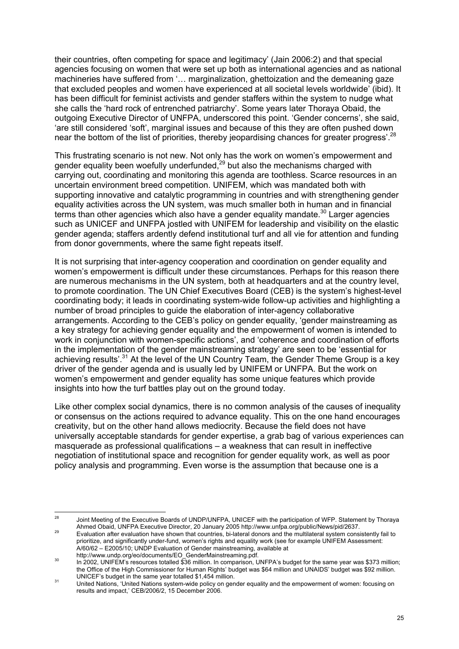their countries, often competing for space and legitimacy' (Jain 2006:2) and that special agencies focusing on women that were set up both as international agencies and as national machineries have suffered from '… marginalization, ghettoization and the demeaning gaze that excluded peoples and women have experienced at all societal levels worldwide' (ibid). It has been difficult for feminist activists and gender staffers within the system to nudge what she calls the 'hard rock of entrenched patriarchy'. Some years later Thoraya Obaid, the outgoing Executive Director of UNFPA, underscored this point. 'Gender concerns', she said, 'are still considered 'soft', marginal issues and because of this they are often pushed down near the bottom of the list of priorities, thereby jeopardising chances for greater progress'.<sup>28</sup>

This frustrating scenario is not new. Not only has the work on women's empowerment and gender equality been woefully underfunded, $29$  but also the mechanisms charged with carrying out, coordinating and monitoring this agenda are toothless. Scarce resources in an uncertain environment breed competition. UNIFEM, which was mandated both with supporting innovative and catalytic programming in countries and with strengthening gender equality activities across the UN system, was much smaller both in human and in financial terms than other agencies which also have a gender equality mandate.<sup>30</sup> Larger agencies such as UNICEF and UNFPA jostled with UNIFEM for leadership and visibility on the elastic gender agenda; staffers ardently defend institutional turf and all vie for attention and funding from donor governments, where the same fight repeats itself.

It is not surprising that inter-agency cooperation and coordination on gender equality and women's empowerment is difficult under these circumstances. Perhaps for this reason there are numerous mechanisms in the UN system, both at headquarters and at the country level, to promote coordination. The UN Chief Executives Board (CEB) is the system's highest-level coordinating body; it leads in coordinating system-wide follow-up activities and highlighting a number of broad principles to guide the elaboration of inter-agency collaborative arrangements. According to the CEB's policy on gender equality, 'gender mainstreaming as a key strategy for achieving gender equality and the empowerment of women is intended to work in conjunction with women-specific actions', and 'coherence and coordination of efforts in the implementation of the gender mainstreaming strategy' are seen to be 'essential for achieving results'.<sup>31</sup> At the level of the UN Country Team, the Gender Theme Group is a key driver of the gender agenda and is usually led by UNIFEM or UNFPA. But the work on women's empowerment and gender equality has some unique features which provide insights into how the turf battles play out on the ground today.

Like other complex social dynamics, there is no common analysis of the causes of inequality or consensus on the actions required to advance equality. This on the one hand encourages creativity, but on the other hand allows mediocrity. Because the field does not have universally acceptable standards for gender expertise, a grab bag of various experiences can masquerade as professional qualifications – a weakness that can result in ineffective negotiation of institutional space and recognition for gender equality work, as well as poor policy analysis and programming. Even worse is the assumption that because one is a

<sup>28</sup> Joint Meeting of the Executive Boards of UNDP/UNFPA, UNICEF with the participation of WFP. Statement by Thoraya<br>Ahmed Obaid, UNFPA Executive Director, 20 January 2005 http://www.unfpa.org/public/News/pid/2637.

Ahmed Obaid, UNFPA Executive Director, 20 January 2005 http://www.unfpa.org/public/News/pid/2637. 29 Evaluation after evaluation have shown that countries, bi-lateral donors and the multilateral system consistently fail to prioritize, and significantly under-fund, women's rights and equality work (see for example UNIFEM Assessment: A/60/62 – E2005/10; UNDP Evaluation of Gender mainstreaming, available at

http://www.undp.org/eo/documents/EO\_GenderMainstreaming.pdf.<br>30 In 2002, UNIFEM's resources totalled \$36 million. In comparison, UNFPA's budget for the same year was \$373 million; the Office of the High Commissioner for Human Rights' budget was \$64 million and UNAIDS' budget was \$92 million.<br>UNICEF's budget in the same year totalled \$1,454 million.

United Nations, 'United Nations system-wide policy on gender equality and the empowerment of women: focusing on results and impact,' CEB/2006/2, 15 December 2006.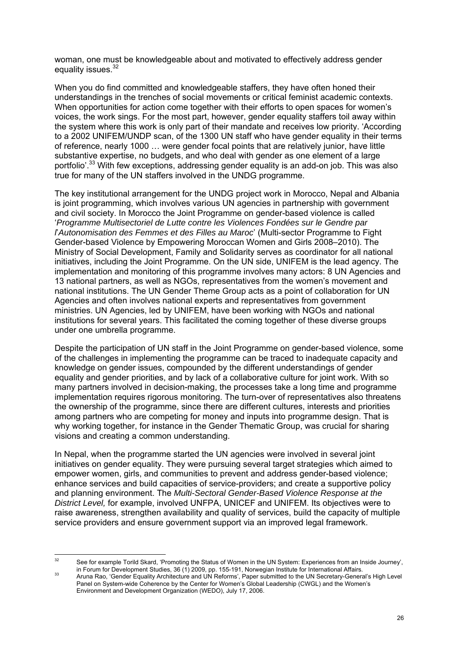woman, one must be knowledgeable about and motivated to effectively address gender equality issues.<sup>32</sup>

When you do find committed and knowledgeable staffers, they have often honed their understandings in the trenches of social movements or critical feminist academic contexts. When opportunities for action come together with their efforts to open spaces for women's voices, the work sings. For the most part, however, gender equality staffers toil away within the system where this work is only part of their mandate and receives low priority. 'According to a 2002 UNIFEM/UNDP scan, of the 1300 UN staff who have gender equality in their terms of reference, nearly 1000 … were gender focal points that are relatively junior, have little substantive expertise, no budgets, and who deal with gender as one element of a large portfolio'.<sup>33</sup> With few exceptions, addressing gender equality is an add-on job. This was also true for many of the UN staffers involved in the UNDG programme.

The key institutional arrangement for the UNDG project work in Morocco, Nepal and Albania is joint programming, which involves various UN agencies in partnership with government and civil society. In Morocco the Joint Programme on gender-based violence is called '*Programme Multisectoriel de Lutte contre les Violences Fondées sur le Gendre par l*'*Autonomisation des Femmes et des Filles au Maroc*' (Multi-sector Programme to Fight Gender-based Violence by Empowering Moroccan Women and Girls 2008–2010). The Ministry of Social Development, Family and Solidarity serves as coordinator for all national initiatives, including the Joint Programme. On the UN side, UNIFEM is the lead agency. The implementation and monitoring of this programme involves many actors: 8 UN Agencies and 13 national partners, as well as NGOs, representatives from the women's movement and national institutions. The UN Gender Theme Group acts as a point of collaboration for UN Agencies and often involves national experts and representatives from government ministries. UN Agencies, led by UNIFEM, have been working with NGOs and national institutions for several years. This facilitated the coming together of these diverse groups under one umbrella programme.

Despite the participation of UN staff in the Joint Programme on gender-based violence, some of the challenges in implementing the programme can be traced to inadequate capacity and knowledge on gender issues, compounded by the different understandings of gender equality and gender priorities, and by lack of a collaborative culture for joint work. With so many partners involved in decision-making, the processes take a long time and programme implementation requires rigorous monitoring. The turn-over of representatives also threatens the ownership of the programme, since there are different cultures, interests and priorities among partners who are competing for money and inputs into programme design. That is why working together, for instance in the Gender Thematic Group, was crucial for sharing visions and creating a common understanding.

In Nepal, when the programme started the UN agencies were involved in several joint initiatives on gender equality. They were pursuing several target strategies which aimed to empower women, girls, and communities to prevent and address gender-based violence; enhance services and build capacities of service-providers; and create a supportive policy and planning environment. The *Multi-Sectoral Gender-Based Violence Response at the District Level,* for example, involved UNFPA, UNICEF and UNIFEM. Its objectives were to raise awareness, strengthen availability and quality of services, build the capacity of multiple service providers and ensure government support via an improved legal framework.

 $32$ See for example Torild Skard, 'Promoting the Status of Women in the UN System: Experiences from an Inside Journey', Forum for Development Studies, 36 (1) 2009, pp. 155-191, Norwegian Institute for International Affairs.<br>33 Aruna Rao, 'Gender Equality Architecture and UN Reforms', Paper submitted to the UN Secretary-General's High Level

Panel on System-wide Coherence by the Center for Women's Global Leadership (CWGL) and the Women's Environment and Development Organization (WEDO), July 17, 2006.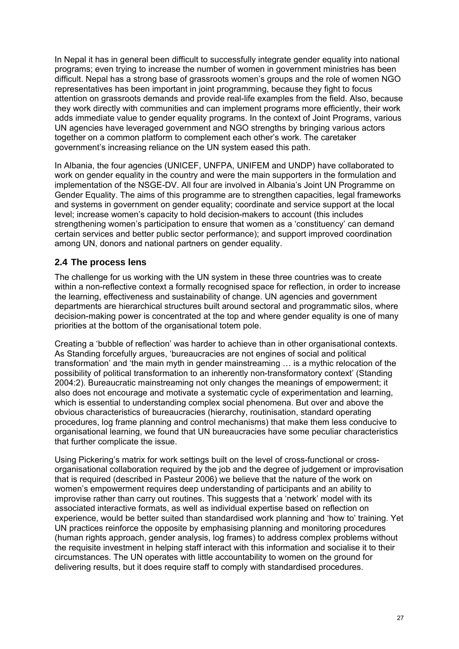In Nepal it has in general been difficult to successfully integrate gender equality into national programs; even trying to increase the number of women in government ministries has been difficult. Nepal has a strong base of grassroots women's groups and the role of women NGO representatives has been important in joint programming, because they fight to focus attention on grassroots demands and provide real-life examples from the field. Also, because they work directly with communities and can implement programs more efficiently, their work adds immediate value to gender equality programs. In the context of Joint Programs, various UN agencies have leveraged government and NGO strengths by bringing various actors together on a common platform to complement each other's work. The caretaker government's increasing reliance on the UN system eased this path.

In Albania, the four agencies (UNICEF, UNFPA, UNIFEM and UNDP) have collaborated to work on gender equality in the country and were the main supporters in the formulation and implementation of the NSGE-DV. All four are involved in Albania's Joint UN Programme on Gender Equality. The aims of this programme are to strengthen capacities, legal frameworks and systems in government on gender equality; coordinate and service support at the local level; increase women's capacity to hold decision-makers to account (this includes strengthening women's participation to ensure that women as a 'constituency' can demand certain services and better public sector performance); and support improved coordination among UN, donors and national partners on gender equality.

## **2.4 The process lens**

The challenge for us working with the UN system in these three countries was to create within a non-reflective context a formally recognised space for reflection, in order to increase the learning, effectiveness and sustainability of change. UN agencies and government departments are hierarchical structures built around sectoral and programmatic silos, where decision-making power is concentrated at the top and where gender equality is one of many priorities at the bottom of the organisational totem pole.

Creating a 'bubble of reflection' was harder to achieve than in other organisational contexts. As Standing forcefully argues, 'bureaucracies are not engines of social and political transformation' and 'the main myth in gender mainstreaming … is a mythic relocation of the possibility of political transformation to an inherently non-transformatory context' (Standing 2004:2). Bureaucratic mainstreaming not only changes the meanings of empowerment; it also does not encourage and motivate a systematic cycle of experimentation and learning, which is essential to understanding complex social phenomena. But over and above the obvious characteristics of bureaucracies (hierarchy, routinisation, standard operating procedures, log frame planning and control mechanisms) that make them less conducive to organisational learning, we found that UN bureaucracies have some peculiar characteristics that further complicate the issue.

Using Pickering's matrix for work settings built on the level of cross-functional or crossorganisational collaboration required by the job and the degree of judgement or improvisation that is required (described in Pasteur 2006) we believe that the nature of the work on women's empowerment requires deep understanding of participants and an ability to improvise rather than carry out routines. This suggests that a 'network' model with its associated interactive formats, as well as individual expertise based on reflection on experience, would be better suited than standardised work planning and 'how to' training. Yet UN practices reinforce the opposite by emphasising planning and monitoring procedures (human rights approach, gender analysis, log frames) to address complex problems without the requisite investment in helping staff interact with this information and socialise it to their circumstances. The UN operates with little accountability to women on the ground for delivering results, but it does require staff to comply with standardised procedures.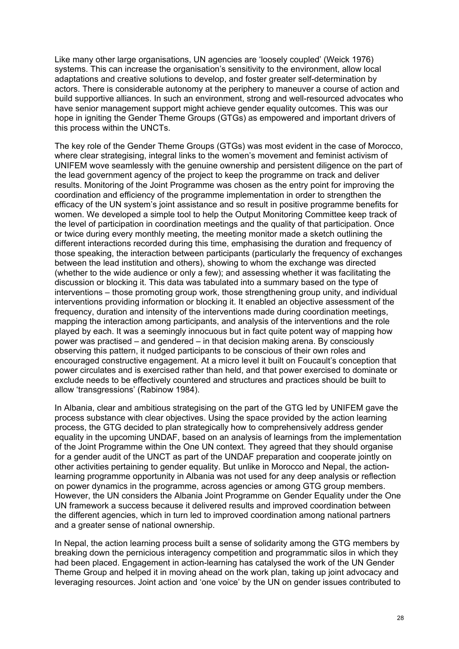Like many other large organisations, UN agencies are 'loosely coupled' (Weick 1976) systems. This can increase the organisation's sensitivity to the environment, allow local adaptations and creative solutions to develop, and foster greater self-determination by actors. There is considerable autonomy at the periphery to maneuver a course of action and build supportive alliances. In such an environment, strong and well-resourced advocates who have senior management support might achieve gender equality outcomes. This was our hope in igniting the Gender Theme Groups (GTGs) as empowered and important drivers of this process within the UNCTs.

The key role of the Gender Theme Groups (GTGs) was most evident in the case of Morocco, where clear strategising, integral links to the women's movement and feminist activism of UNIFEM wove seamlessly with the genuine ownership and persistent diligence on the part of the lead government agency of the project to keep the programme on track and deliver results. Monitoring of the Joint Programme was chosen as the entry point for improving the coordination and efficiency of the programme implementation in order to strengthen the efficacy of the UN system's joint assistance and so result in positive programme benefits for women. We developed a simple tool to help the Output Monitoring Committee keep track of the level of participation in coordination meetings and the quality of that participation. Once or twice during every monthly meeting, the meeting monitor made a sketch outlining the different interactions recorded during this time, emphasising the duration and frequency of those speaking, the interaction between participants (particularly the frequency of exchanges between the lead institution and others), showing to whom the exchange was directed (whether to the wide audience or only a few); and assessing whether it was facilitating the discussion or blocking it. This data was tabulated into a summary based on the type of interventions – those promoting group work, those strengthening group unity, and individual interventions providing information or blocking it. It enabled an objective assessment of the frequency, duration and intensity of the interventions made during coordination meetings, mapping the interaction among participants, and analysis of the interventions and the role played by each. It was a seemingly innocuous but in fact quite potent way of mapping how power was practised – and gendered – in that decision making arena. By consciously observing this pattern, it nudged participants to be conscious of their own roles and encouraged constructive engagement. At a micro level it built on Foucault's conception that power circulates and is exercised rather than held, and that power exercised to dominate or exclude needs to be effectively countered and structures and practices should be built to allow 'transgressions' (Rabinow 1984).

In Albania, clear and ambitious strategising on the part of the GTG led by UNIFEM gave the process substance with clear objectives. Using the space provided by the action learning process, the GTG decided to plan strategically how to comprehensively address gender equality in the upcoming UNDAF, based on an analysis of learnings from the implementation of the Joint Programme within the One UN context. They agreed that they should organise for a gender audit of the UNCT as part of the UNDAF preparation and cooperate jointly on other activities pertaining to gender equality. But unlike in Morocco and Nepal, the actionlearning programme opportunity in Albania was not used for any deep analysis or reflection on power dynamics in the programme, across agencies or among GTG group members. However, the UN considers the Albania Joint Programme on Gender Equality under the One UN framework a success because it delivered results and improved coordination between the different agencies, which in turn led to improved coordination among national partners and a greater sense of national ownership.

In Nepal, the action learning process built a sense of solidarity among the GTG members by breaking down the pernicious interagency competition and programmatic silos in which they had been placed. Engagement in action-learning has catalysed the work of the UN Gender Theme Group and helped it in moving ahead on the work plan, taking up joint advocacy and leveraging resources. Joint action and 'one voice' by the UN on gender issues contributed to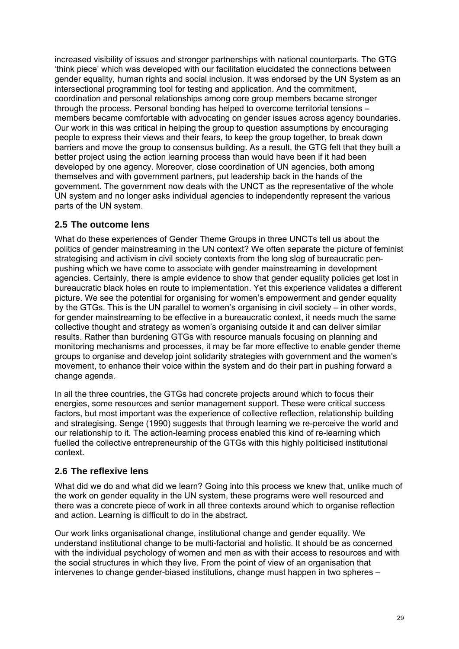increased visibility of issues and stronger partnerships with national counterparts. The GTG 'think piece' which was developed with our facilitation elucidated the connections between gender equality, human rights and social inclusion. It was endorsed by the UN System as an intersectional programming tool for testing and application. And the commitment, coordination and personal relationships among core group members became stronger through the process. Personal bonding has helped to overcome territorial tensions – members became comfortable with advocating on gender issues across agency boundaries. Our work in this was critical in helping the group to question assumptions by encouraging people to express their views and their fears, to keep the group together, to break down barriers and move the group to consensus building. As a result, the GTG felt that they built a better project using the action learning process than would have been if it had been developed by one agency. Moreover, close coordination of UN agencies, both among themselves and with government partners, put leadership back in the hands of the government. The government now deals with the UNCT as the representative of the whole UN system and no longer asks individual agencies to independently represent the various parts of the UN system.

## **2.5 The outcome lens**

What do these experiences of Gender Theme Groups in three UNCTs tell us about the politics of gender mainstreaming in the UN context? We often separate the picture of feminist strategising and activism in civil society contexts from the long slog of bureaucratic penpushing which we have come to associate with gender mainstreaming in development agencies. Certainly, there is ample evidence to show that gender equality policies get lost in bureaucratic black holes en route to implementation. Yet this experience validates a different picture. We see the potential for organising for women's empowerment and gender equality by the GTGs. This is the UN parallel to women's organising in civil society – in other words, for gender mainstreaming to be effective in a bureaucratic context, it needs much the same collective thought and strategy as women's organising outside it and can deliver similar results. Rather than burdening GTGs with resource manuals focusing on planning and monitoring mechanisms and processes, it may be far more effective to enable gender theme groups to organise and develop joint solidarity strategies with government and the women's movement, to enhance their voice within the system and do their part in pushing forward a change agenda.

In all the three countries, the GTGs had concrete projects around which to focus their energies, some resources and senior management support. These were critical success factors, but most important was the experience of collective reflection, relationship building and strategising. Senge (1990) suggests that through learning we re-perceive the world and our relationship to it. The action-learning process enabled this kind of re-learning which fuelled the collective entrepreneurship of the GTGs with this highly politicised institutional context.

#### **2.6 The reflexive lens**

What did we do and what did we learn? Going into this process we knew that, unlike much of the work on gender equality in the UN system, these programs were well resourced and there was a concrete piece of work in all three contexts around which to organise reflection and action. Learning is difficult to do in the abstract.

Our work links organisational change, institutional change and gender equality. We understand institutional change to be multi-factorial and holistic. It should be as concerned with the individual psychology of women and men as with their access to resources and with the social structures in which they live. From the point of view of an organisation that intervenes to change gender-biased institutions, change must happen in two spheres –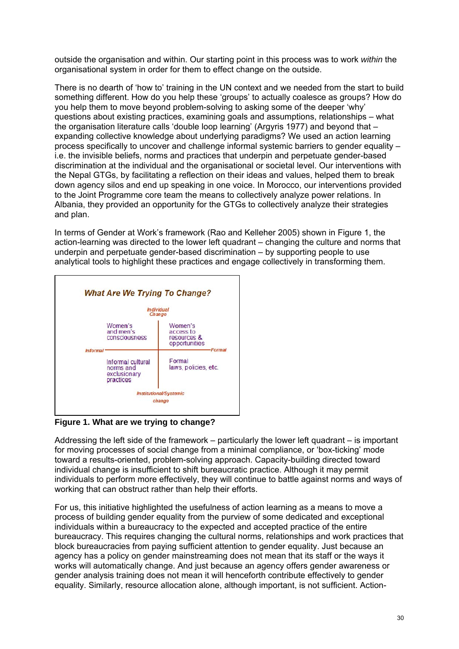outside the organisation and within. Our starting point in this process was to work *within* the organisational system in order for them to effect change on the outside.

There is no dearth of 'how to' training in the UN context and we needed from the start to build something different. How do you help these 'groups' to actually coalesce as groups? How do you help them to move beyond problem-solving to asking some of the deeper 'why' questions about existing practices, examining goals and assumptions, relationships – what the organisation literature calls 'double loop learning' (Argyris 1977) and beyond that – expanding collective knowledge about underlying paradigms? We used an action learning process specifically to uncover and challenge informal systemic barriers to gender equality – i.e. the invisible beliefs, norms and practices that underpin and perpetuate gender-based discrimination at the individual and the organisational or societal level. Our interventions with the Nepal GTGs, by facilitating a reflection on their ideas and values, helped them to break down agency silos and end up speaking in one voice. In Morocco, our interventions provided to the Joint Programme core team the means to collectively analyze power relations. In Albania, they provided an opportunity for the GTGs to collectively analyze their strategies and plan.

In terms of Gender at Work's framework (Rao and Kelleher 2005) shown in Figure 1, the action-learning was directed to the lower left quadrant – changing the culture and norms that underpin and perpetuate gender-based discrimination – by supporting people to use analytical tools to highlight these practices and engage collectively in transforming them.



**Figure 1. What are we trying to change?** 

Addressing the left side of the framework – particularly the lower left quadrant – is important for moving processes of social change from a minimal compliance, or 'box-ticking' mode toward a results-oriented, problem-solving approach. Capacity-building directed toward individual change is insufficient to shift bureaucratic practice. Although it may permit individuals to perform more effectively, they will continue to battle against norms and ways of working that can obstruct rather than help their efforts.

For us, this initiative highlighted the usefulness of action learning as a means to move a process of building gender equality from the purview of some dedicated and exceptional individuals within a bureaucracy to the expected and accepted practice of the entire bureaucracy. This requires changing the cultural norms, relationships and work practices that block bureaucracies from paying sufficient attention to gender equality. Just because an agency has a policy on gender mainstreaming does not mean that its staff or the ways it works will automatically change. And just because an agency offers gender awareness or gender analysis training does not mean it will henceforth contribute effectively to gender equality. Similarly, resource allocation alone, although important, is not sufficient. Action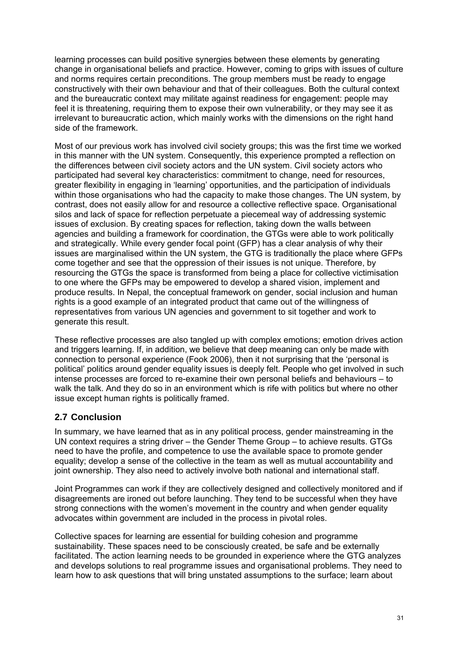learning processes can build positive synergies between these elements by generating change in organisational beliefs and practice. However, coming to grips with issues of culture and norms requires certain preconditions. The group members must be ready to engage constructively with their own behaviour and that of their colleagues. Both the cultural context and the bureaucratic context may militate against readiness for engagement: people may feel it is threatening, requiring them to expose their own vulnerability, or they may see it as irrelevant to bureaucratic action, which mainly works with the dimensions on the right hand side of the framework.

Most of our previous work has involved civil society groups; this was the first time we worked in this manner with the UN system. Consequently, this experience prompted a reflection on the differences between civil society actors and the UN system. Civil society actors who participated had several key characteristics: commitment to change, need for resources, greater flexibility in engaging in 'learning' opportunities, and the participation of individuals within those organisations who had the capacity to make those changes. The UN system, by contrast, does not easily allow for and resource a collective reflective space. Organisational silos and lack of space for reflection perpetuate a piecemeal way of addressing systemic issues of exclusion. By creating spaces for reflection, taking down the walls between agencies and building a framework for coordination, the GTGs were able to work politically and strategically. While every gender focal point (GFP) has a clear analysis of why their issues are marginalised within the UN system, the GTG is traditionally the place where GFPs come together and see that the oppression of their issues is not unique. Therefore, by resourcing the GTGs the space is transformed from being a place for collective victimisation to one where the GFPs may be empowered to develop a shared vision, implement and produce results. In Nepal, the conceptual framework on gender, social inclusion and human rights is a good example of an integrated product that came out of the willingness of representatives from various UN agencies and government to sit together and work to generate this result.

These reflective processes are also tangled up with complex emotions; emotion drives action and triggers learning. If, in addition, we believe that deep meaning can only be made with connection to personal experience (Fook 2006), then it not surprising that the 'personal is political' politics around gender equality issues is deeply felt. People who get involved in such intense processes are forced to re-examine their own personal beliefs and behaviours – to walk the talk. And they do so in an environment which is rife with politics but where no other issue except human rights is politically framed.

## **2.7 Conclusion**

In summary, we have learned that as in any political process, gender mainstreaming in the UN context requires a string driver – the Gender Theme Group – to achieve results. GTGs need to have the profile, and competence to use the available space to promote gender equality; develop a sense of the collective in the team as well as mutual accountability and joint ownership. They also need to actively involve both national and international staff.

Joint Programmes can work if they are collectively designed and collectively monitored and if disagreements are ironed out before launching. They tend to be successful when they have strong connections with the women's movement in the country and when gender equality advocates within government are included in the process in pivotal roles.

Collective spaces for learning are essential for building cohesion and programme sustainability. These spaces need to be consciously created, be safe and be externally facilitated. The action learning needs to be grounded in experience where the GTG analyzes and develops solutions to real programme issues and organisational problems. They need to learn how to ask questions that will bring unstated assumptions to the surface; learn about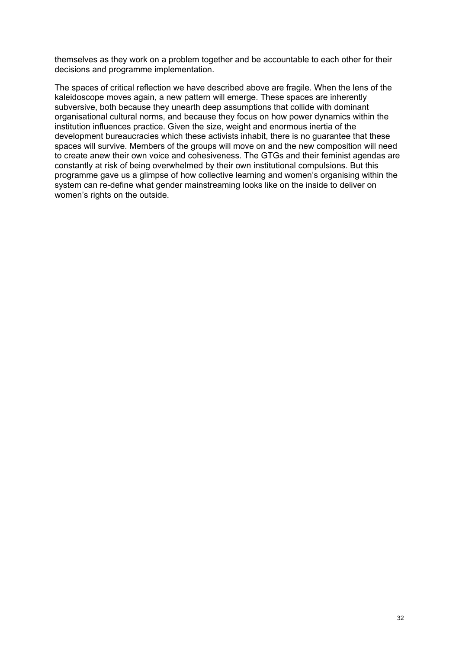themselves as they work on a problem together and be accountable to each other for their decisions and programme implementation.

The spaces of critical reflection we have described above are fragile. When the lens of the kaleidoscope moves again, a new pattern will emerge. These spaces are inherently subversive, both because they unearth deep assumptions that collide with dominant organisational cultural norms, and because they focus on how power dynamics within the institution influences practice. Given the size, weight and enormous inertia of the development bureaucracies which these activists inhabit, there is no guarantee that these spaces will survive. Members of the groups will move on and the new composition will need to create anew their own voice and cohesiveness. The GTGs and their feminist agendas are constantly at risk of being overwhelmed by their own institutional compulsions. But this programme gave us a glimpse of how collective learning and women's organising within the system can re-define what gender mainstreaming looks like on the inside to deliver on women's rights on the outside.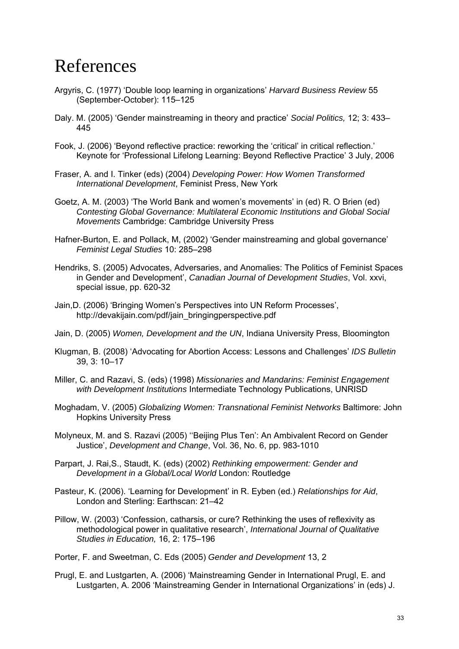## References

- Argyris, C. (1977) 'Double loop learning in organizations' *Harvard Business Review* 55 (September-October): 115–125
- Daly. M. (2005) 'Gender mainstreaming in theory and practice' *Social Politics,* 12; 3: 433– 445
- Fook, J. (2006) 'Beyond reflective practice: reworking the 'critical' in critical reflection.' Keynote for 'Professional Lifelong Learning: Beyond Reflective Practice' 3 July, 2006
- Fraser, A. and I. Tinker (eds) (2004) *Developing Power: How Women Transformed International Development*, Feminist Press, New York
- Goetz, A. M. (2003) 'The World Bank and women's movements' in (ed) R. O Brien (ed) *Contesting Global Governance: Multilateral Economic Institutions and Global Social Movements* Cambridge: Cambridge University Press
- Hafner-Burton, E. and Pollack, M, (2002) 'Gender mainstreaming and global governance' *Feminist Legal Studies* 10: 285–298
- Hendriks, S. (2005) Advocates, Adversaries, and Anomalies: The Politics of Feminist Spaces in Gender and Development', *Canadian Journal of Development Studies*, Vol. xxvi, special issue, pp. 620-32
- Jain,D. (2006) 'Bringing Women's Perspectives into UN Reform Processes', http://devakijain.com/pdf/jain\_bringingperspective.pdf
- Jain, D. (2005) *Women, Development and the UN*, Indiana University Press, Bloomington
- Klugman, B. (2008) 'Advocating for Abortion Access: Lessons and Challenges' *IDS Bulletin* 39, 3: 10–17
- Miller, C. and Razavi, S. (eds) (1998) *Missionaries and Mandarins: Feminist Engagement with Development Institutions* Intermediate Technology Publications, UNRISD
- Moghadam, V. (2005) *Globalizing Women: Transnational Feminist Networks* Baltimore: John Hopkins University Press
- Molyneux, M. and S. Razavi (2005) ''Beijing Plus Ten': An Ambivalent Record on Gender Justice', *Development and Change*, Vol. 36, No. 6, pp. 983-1010
- Parpart, J. Rai,S., Staudt, K. (eds) (2002) *Rethinking empowerment: Gender and Development in a Global/Local World* London: Routledge
- Pasteur, K. (2006). 'Learning for Development' in R. Eyben (ed.) *Relationships for Aid*, London and Sterling: Earthscan: 21–42
- Pillow, W. (2003) 'Confession, catharsis, or cure? Rethinking the uses of reflexivity as methodological power in qualitative research', *International Journal of Qualitative Studies in Education,* 16, 2: 175–196
- Porter, F. and Sweetman, C. Eds (2005) *Gender and Development* 13, 2
- Prugl, E. and Lustgarten, A. (2006) 'Mainstreaming Gender in International Prugl, E. and Lustgarten, A. 2006 'Mainstreaming Gender in International Organizations' in (eds) J.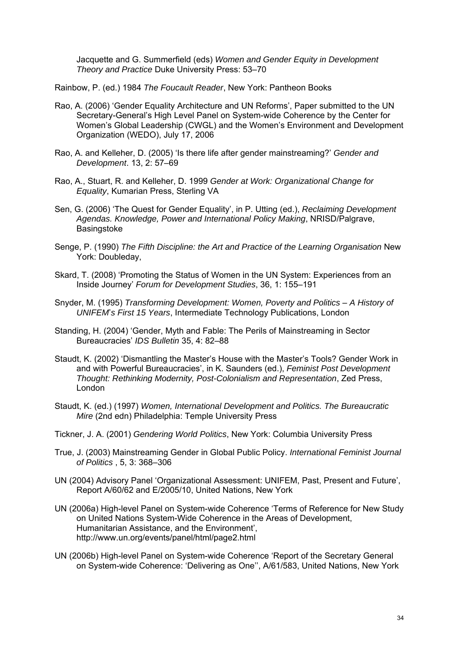Jacquette and G. Summerfield (eds) *Women and Gender Equity in Development Theory and Practice* Duke University Press: 53–70

Rainbow, P. (ed.) 1984 *The Foucault Reader*, New York: Pantheon Books

- Rao, A. (2006) 'Gender Equality Architecture and UN Reforms', Paper submitted to the UN Secretary-General's High Level Panel on System-wide Coherence by the Center for Women's Global Leadership (CWGL) and the Women's Environment and Development Organization (WEDO), July 17, 2006
- Rao, A. and Kelleher, D. (2005) 'Is there life after gender mainstreaming?' *Gender and Development*. 13, 2: 57–69
- Rao, A., Stuart, R. and Kelleher, D. 1999 *Gender at Work: Organizational Change for Equality*, Kumarian Press, Sterling VA
- Sen, G. (2006) 'The Quest for Gender Equality', in P. Utting (ed.), *Reclaiming Development Agendas. Knowledge, Power and International Policy Making*, NRISD/Palgrave, Basingstoke
- Senge, P. (1990) *The Fifth Discipline: the Art and Practice of the Learning Organisation* New York: Doubleday,
- Skard, T. (2008) 'Promoting the Status of Women in the UN System: Experiences from an Inside Journey' *Forum for Development Studies*, 36, 1: 155–191
- Snyder, M. (1995) *Transforming Development: Women, Poverty and Politics A History of UNIFEM*'*s First 15 Years*, Intermediate Technology Publications, London
- Standing, H. (2004) 'Gender, Myth and Fable: The Perils of Mainstreaming in Sector Bureaucracies' *IDS Bulletin* 35, 4: 82–88
- Staudt, K. (2002) 'Dismantling the Master's House with the Master's Tools? Gender Work in and with Powerful Bureaucracies', in K. Saunders (ed.), *Feminist Post Development Thought: Rethinking Modernity, Post-Colonialism and Representation*, Zed Press, London
- Staudt, K. (ed.) (1997) *Women, International Development and Politics. The Bureaucratic Mire* (2nd edn) Philadelphia: Temple University Press
- Tickner, J. A. (2001) *Gendering World Politics*, New York: Columbia University Press
- True, J. (2003) Mainstreaming Gender in Global Public Policy. *International Feminist Journal of Politics* , 5, 3: 368–306
- UN (2004) Advisory Panel 'Organizational Assessment: UNIFEM, Past, Present and Future', Report A/60/62 and E/2005/10, United Nations, New York
- UN (2006a) High-level Panel on System-wide Coherence 'Terms of Reference for New Study on United Nations System-Wide Coherence in the Areas of Development, Humanitarian Assistance, and the Environment', http://www.un.org/events/panel/html/page2.html
- UN (2006b) High-level Panel on System-wide Coherence 'Report of the Secretary General on System-wide Coherence: 'Delivering as One'', A/61/583, United Nations, New York